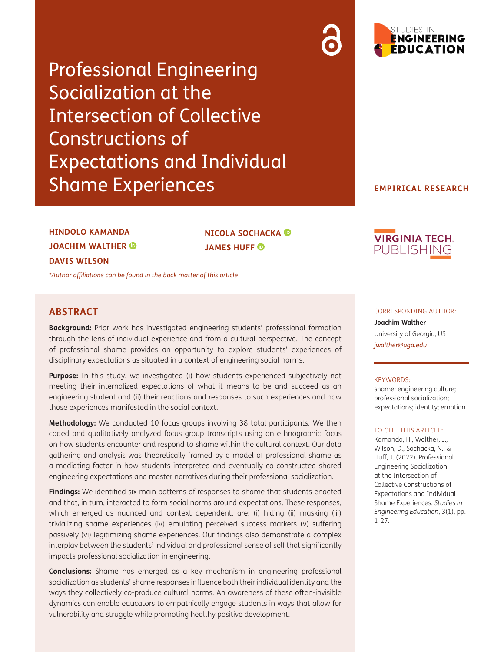Professional Engineering Socialization at the Intersection of Collective Constructions of Expectations and Individual Shame Experiences



### **EMPIRICAL RESEARCH**

# **HINDOLO KAMANDA JOACHIM WALTHER DAVIS WILSON**

*\*[Author affiliations can be found in the back matter of this article](#page-21-0)*

## **ABSTRACT**

**Background:** Prior work has investigated engineering students' professional formation through the lens of individual experience and from a cultural perspective. The concept of professional shame provides an opportunity to explore students' experiences of disciplinary expectations as situated in a context of engineering social norms.

**NICOLA SOCHACKA** 

**JAMES HUFF** 

Purpose: In this study, we investigated (i) how students experienced subjectively not meeting their internalized expectations of what it means to be and succeed as an engineering student and (ii) their reactions and responses to such experiences and how those experiences manifested in the social context.

**Methodology:** We conducted 10 focus groups involving 38 total participants. We then coded and qualitatively analyzed focus group transcripts using an ethnographic focus on how students encounter and respond to shame within the cultural context. Our data gathering and analysis was theoretically framed by a model of professional shame as a mediating factor in how students interpreted and eventually co-constructed shared engineering expectations and master narratives during their professional socialization.

**Findings:** We identified six main patterns of responses to shame that students enacted and that, in turn, interacted to form social norms around expectations. These responses, which emerged as nuanced and context dependent, are: (i) hiding (ii) masking (iii) trivializing shame experiences (iv) emulating perceived success markers (v) suffering passively (vi) legitimizing shame experiences. Our findings also demonstrate a complex interplay between the students' individual and professional sense of self that significantly impacts professional socialization in engineering.

**Conclusions:** Shame has emerged as a key mechanism in engineering professional socialization as students' shame responses influence both their individual identity and the ways they collectively co-produce cultural norms. An awareness of these often-invisible dynamics can enable educators to empathically engage students in ways that allow for vulnerability and struggle while promoting healthy positive development.



#### CORRESPONDING AUTHOR:

**Joachim Walther** University of Georgia, US *[jwalther@uga.edu](mailto:jwalther@uga.edu)*

#### KEYWORDS:

shame; engineering culture; professional socialization; expectations; identity; emotion

#### TO CITE THIS ARTICLE:

Kamanda, H., Walther, J., Wilson, D., Sochacka, N., & Huff, J. (2022). Professional Engineering Socialization at the Intersection of Collective Constructions of Expectations and Individual Shame Experiences. *Studies in Engineering Education*, 3(1), pp. 1-27.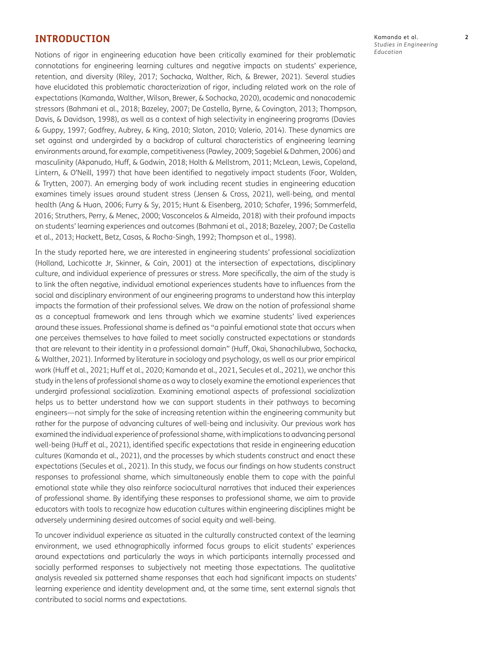## **INTRODUCTION**

Notions of rigor in engineering education have been critically examined for their problematic connotations for engineering learning cultures and negative impacts on students' experience, retention, and diversity [\(Riley, 2017](#page-24-0); [Sochacka, Walther, Rich, & Brewer, 2021](#page-25-0)). Several studies have elucidated this problematic characterization of rigor, including related work on the role of expectations [\(Kamanda, Walther, Wilson, Brewer, & Sochacka, 2020](#page-24-0)), academic and nonacademic stressors ([Bahmani et al., 2018;](#page-22-0) [Bazeley, 2007](#page-22-0); [De Castella, Byrne, & Covington, 2013](#page-23-0); Thompson, Davis, & Davidson, 1998), as well as a context of high selectivity in engineering programs ([Davies](#page-23-0)  [& Guppy, 1997;](#page-23-0) [Godfrey, Aubrey, & King, 2010;](#page-23-0) [Slaton, 2010](#page-25-0); [Valerio, 2014\)](#page-25-0). These dynamics are set against and undergirded by a backdrop of cultural characteristics of engineering learning environments around, for example, competitiveness [\(Pawley, 2009;](#page-24-0) [Sagebiel & Dahmen, 2006\)](#page-25-0) and masculinity [\(Akpanudo, Huff, & Godwin, 2018](#page-22-0); [Holth & Mellstrom, 2011; McLean, Lewis, Copeland,](#page-24-0)  [Lintern, & O'Neill, 1997](#page-24-0)) that have been identified to negatively impact students [\(Foor, Walden,](#page-23-0)  [& Trytten, 2007\)](#page-23-0). An emerging body of work including recent studies in engineering education examines timely issues around student stress [\(Jensen & Cross, 2021](#page-24-0)), well-being, and mental health (Ang & Huan, 2006; [Furry & Sy, 2015;](#page-23-0) [Hunt & Eisenberg, 2010](#page-24-0); [Schafer, 1996](#page-25-0); [Sommerfeld,](#page-25-0)  [2016](#page-25-0); [Struthers, Perry, & Menec, 2000](#page-25-0); [Vasconcelos & Almeida, 2018\)](#page-25-0) with their profound impacts on students' learning experiences and outcomes [\(Bahmani et al., 2018; Bazeley, 2007](#page-22-0); [De Castella](#page-23-0)  [et al., 2013; Hackett, Betz, Casas, & Rocha-Singh, 1992](#page-23-0); Thompson et al., 1998).

In the study reported here, we are interested in engineering students' professional socialization [\(Holland, Lachicotte Jr, Skinner, & Cain, 2001](#page-23-0)) at the intersection of expectations, disciplinary culture, and individual experience of pressures or stress. More specifically, the aim of the study is to link the often negative, individual emotional experiences students have to influences from the social and disciplinary environment of our engineering programs to understand how this interplay impacts the formation of their professional selves. We draw on the notion of professional shame as a conceptual framework and lens through which we examine students' lived experiences around these issues. Professional shame is defined as "a painful emotional state that occurs when one perceives themselves to have failed to meet socially constructed expectations or standards that are relevant to their identity in a professional domain" [\(Huff, Okai, Shanachilubwa, Sochacka,](#page-24-0)  [& Walther, 2021](#page-24-0)). Informed by literature in sociology and psychology, as well as our prior empirical work [\(Huff et al., 2021](#page-24-0); [Huff et al., 2020](#page-24-0); Kamanda et al., 2021, [Secules et al., 2021\)](#page-25-0), we anchor this study in the lens of professional shame as a way to closely examine the emotional experiences that undergird professional socialization. Examining emotional aspects of professional socialization helps us to better understand how we can support students in their pathways to becoming engineers—not simply for the sake of increasing retention within the engineering community but rather for the purpose of advancing cultures of well-being and inclusivity. Our previous work has examined the individual experience of professional shame, with implications to advancing personal well-being ([Huff et al., 2021](#page-24-0)), identified specific expectations that reside in engineering education cultures (Kamanda et al., 2021), and the processes by which students construct and enact these expectations ([Secules et al., 2021\)](#page-25-0). In this study, we focus our findings on how students construct responses to professional shame, which simultaneously enable them to cope with the painful emotional state while they also reinforce sociocultural narratives that induced their experiences of professional shame. By identifying these responses to professional shame, we aim to provide educators with tools to recognize how education cultures within engineering disciplines might be adversely undermining desired outcomes of social equity and well-being.

To uncover individual experience as situated in the culturally constructed context of the learning environment, we used ethnographically informed focus groups to elicit students' experiences around expectations and particularly the ways in which participants internally processed and socially performed responses to subjectively not meeting those expectations. The qualitative analysis revealed six patterned shame responses that each had significant impacts on students' learning experience and identity development and, at the same time, sent external signals that contributed to social norms and expectations.

Kamanda et al. **2** *Studies in Engineering Education*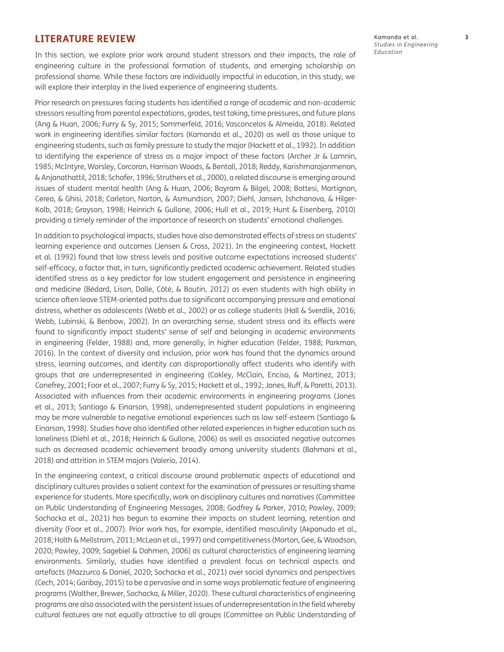## **LITERATURE REVIEW**

In this section, we explore prior work around student stressors and their impacts, the role of engineering culture in the professional formation of students, and emerging scholarship on professional shame. While these factors are individually impactful in education, in this study, we will explore their interplay in the lived experience of engineering students.

Prior research on pressures facing students has identified a range of academic and non-academic stressors resulting from parental expectations, grades, test taking, time pressures, and future plans [\(Ang & Huan, 2006;](#page-22-0) [Furry & Sy, 2015;](#page-23-0) [Sommerfeld, 2016; Vasconcelos & Almeida, 2018\)](#page-25-0). Related work in engineering identifies similar factors [\(Kamanda et al., 2020\)](#page-24-0) as well as those unique to engineering students, such as family pressure to study the major [\(Hackett et al., 1992](#page-23-0)). In addition to identifying the experience of stress as a major impact of these factors [\(Archer Jr & Lamnin,](#page-22-0)  [1985;](#page-22-0) [McIntyre, Worsley, Corcoran, Harrison Woods, & Bentall, 2018](#page-24-0); [Reddy, Karishmarajanmenon,](#page-24-0)  [& Anjanathattil, 2018;](#page-24-0) [Schafer, 1996](#page-25-0); [Struthers et al., 2000](#page-25-0)), a related discourse is emerging around issues of student mental health ([Ang & Huan, 2006;](#page-22-0) [Bayram & Bilgel, 2008](#page-22-0); [Bottesi, Martignon,](#page-22-0)  [Cerea, & Ghisi, 2018](#page-22-0); [Carleton, Norton, & Asmundson, 2007;](#page-22-0) [Diehl, Jansen, Ishchanova, & Hilger-](#page-23-0)[Kolb, 2018](#page-23-0); [Grayson, 1998;](#page-23-0) [Heinrich & Gullone, 2006;](#page-23-0) [Hull et al., 2019](#page-24-0); [Hunt & Eisenberg, 2010](#page-24-0)) providing a timely reminder of the importance of research on students' emotional challenges.

In addition to psychological impacts, studies have also demonstrated effects of stress on students' learning experience and outcomes ([Jensen & Cross, 2021](#page-24-0)). In the engineering context, [Hackett](#page-23-0) [et al. \(1992\)](#page-23-0) found that low stress levels and positive outcome expectations increased students' self-efficacy, a factor that, in turn, significantly predicted academic achievement. Related studies identified stress as a key predictor for low student engagement and persistence in engineering and medicine ([Bédard, Lison, Dalle, Côté, & Boutin, 2012\)](#page-22-0) as even students with high ability in science often leave STEM-oriented paths due to significant accompanying pressure and emotional distress, whether as adolescents ([Webb et al., 2002](#page-25-0)) or as college students [\(Hall & Sverdlik, 2016;](#page-23-0) [Webb, Lubinski, & Benbow, 2002](#page-25-0)). In an overarching sense, student stress and its effects were found to significantly impact students' sense of self and belonging in academic environments in engineering ([Felder, 1988](#page-23-0)) and, more generally, in higher education ([Felder, 1988](#page-23-0); [Parkman,](#page-24-0)  [2016](#page-24-0)). In the context of diversity and inclusion, prior work has found that the dynamics around stress, learning outcomes, and identity can disproportionally affect students who identify with groups that are underrepresented in engineering [\(Cokley, McClain, Enciso, & Martinez, 2013;](#page-22-0) [Conefrey, 2001; Foor et al., 2007; Furry & Sy, 2015](#page-23-0); [Hackett et al., 1992](#page-23-0); [Jones, Ruff, & Paretti, 2013](#page-24-0)). Associated with influences from their academic environments in engineering programs ([Jones](#page-24-0)  [et al., 2013;](#page-24-0) [Santiago & Einarson, 1998\)](#page-25-0), underrepresented student populations in engineering may be more vulnerable to negative emotional experiences such as low self-esteem ([Santiago &](#page-25-0) [Einarson, 1998](#page-25-0)). Studies have also identified other related experiences in higher education such as loneliness (Diehl et al., 2018; [Heinrich & Gullone, 2006](#page-23-0)) as well as associated negative outcomes such as decreased academic achievement broadly among university students ([Bahmani et al.,](#page-22-0)  [2018](#page-22-0)) and attrition in STEM majors ([Valerio, 2014](#page-25-0)).

In the engineering context, a critical discourse around problematic aspects of educational and disciplinary cultures provides a salient context for the examination of pressures or resulting shame experience for students. More specifically, work on disciplinary cultures and narratives ([Committee](#page-23-0)  [on Public Understanding of Engineering Messages, 2008](#page-23-0); [Godfrey & Parker, 2010;](#page-23-0) [Pawley, 2009;](#page-24-0) [Sochacka et al., 2021\)](#page-25-0) has begun to examine their impacts on student learning, retention and diversity [\(Foor et al., 2007\)](#page-23-0). Prior work has, for example, identified masculinity [\(Akpanudo et al.,](#page-22-0)  [2018](#page-22-0); [Holth & Mellstrom, 2011;](#page-24-0) McLean et al., 1997) and competitiveness ([Morton, Gee, & Woodson,](#page-24-0)  [2020](#page-24-0); [Pawley, 2009](#page-24-0); [Sagebiel & Dahmen, 2006\)](#page-25-0) as cultural characteristics of engineering learning environments. Similarly, studies have identified a prevalent focus on technical aspects and artefacts [\(Mazzurco & Daniel, 2020](#page-24-0); [Sochacka et al., 2021\)](#page-25-0) over social dynamics and perspectives [\(Cech, 2014](#page-22-0); [Garibay, 2015](#page-23-0)) to be a pervasive and in some ways problematic feature of engineering programs [\(Walther, Brewer, Sochacka, & Miller, 2020\)](#page-25-0). These cultural characteristics of engineering programs are also associated with the persistent issues of underrepresentation in the field whereby cultural features are not equally attractive to all groups ([Committee on Public Understanding of](#page-23-0)

Kamanda et al. **3** *Studies in Engineering Education*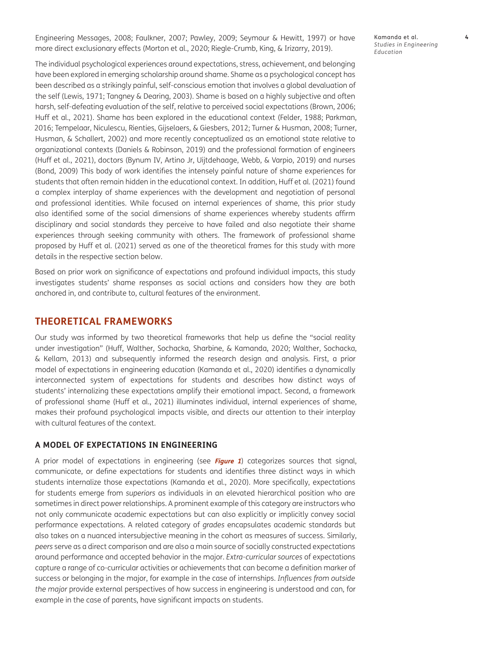[Engineering Messages, 2008](#page-23-0); [Faulkner, 2007;](#page-23-0) [Pawley, 2009](#page-24-0); [Seymour & Hewitt, 1997\)](#page-25-0) or have more direct exclusionary effects [\(Morton et al., 2020](#page-24-0); [Riegle-Crumb, King, & Irizarry, 2019](#page-24-0)).

The individual psychological experiences around expectations, stress, achievement, and belonging have been explored in emerging scholarship around shame. Shame as a psychological concept has been described as a strikingly painful, self-conscious emotion that involves a global devaluation of the self ([Lewis, 1971](#page-24-0); [Tangney & Dearing, 2003\)](#page-26-0). Shame is based on a highly subjective and often harsh, self-defeating evaluation of the self, relative to perceived social expectations ([Brown, 2006;](#page-22-0) [Huff et al., 2021\)](#page-24-0). Shame has been explored in the educational context ([Felder, 1988;](#page-23-0) [Parkman,](#page-24-0)  [2016](#page-24-0); [Tempelaar, Niculescu, Rienties, Gijselaers, & Giesbers, 2012; Turner & Husman, 2008](#page-25-0); [Turner,](#page-25-0)  [Husman, & Schallert, 2002](#page-25-0)) and more recently conceptualized as an emotional state relative to organizational contexts [\(Daniels & Robinson, 2019\)](#page-23-0) and the professional formation of engineers [\(Huff et al., 2021](#page-24-0)), doctors [\(Bynum IV, Artino Jr, Uijtdehaage, Webb, & Varpio, 2019](#page-22-0)) and nurses [\(Bond, 2009\)](#page-22-0) This body of work identifies the intensely painful nature of shame experiences for students that often remain hidden in the educational context. In addition, [Huff et al. \(2021\)](#page-24-0) found a complex interplay of shame experiences with the development and negotiation of personal and professional identities. While focused on internal experiences of shame, this prior study also identified some of the social dimensions of shame experiences whereby students affirm disciplinary and social standards they perceive to have failed and also negotiate their shame experiences through seeking community with others. The framework of professional shame proposed by [Huff et al. \(2021\)](#page-24-0) served as one of the theoretical frames for this study with more details in the respective section below.

Based on prior work on significance of expectations and profound individual impacts, this study investigates students' shame responses as social actions and considers how they are both anchored in, and contribute to, cultural features of the environment.

## **THEORETICAL FRAMEWORKS**

Our study was informed by two theoretical frameworks that help us define the "social reality under investigation" [\(Huff, Walther, Sochacka, Sharbine, & Kamanda, 2020](#page-24-0); [Walther, Sochacka,](#page-12-0)  [& Kellam, 2013](#page-12-0)) and subsequently informed the research design and analysis. First, a prior model of expectations in engineering education ([Kamanda et al., 2020](#page-24-0)) identifies a dynamically interconnected system of expectations for students and describes how distinct ways of students' internalizing these expectations amplify their emotional impact. Second, a framework of professional shame [\(Huff et al., 2021](#page-24-0)) illuminates individual, internal experiences of shame, makes their profound psychological impacts visible, and directs our attention to their interplay with cultural features of the context.

## **A MODEL OF EXPECTATIONS IN ENGINEERING**

A prior model of expectations in engineering (see **[Figure 1](#page-4-0)**) categorizes sources that signal, communicate, or define expectations for students and identifies three distinct ways in which students internalize those expectations [\(Kamanda et al., 2020](#page-24-0)). More specifically, expectations for students emerge from *superiors* as individuals in an elevated hierarchical position who are sometimes in direct power relationships. A prominent example of this category are instructors who not only communicate academic expectations but can also explicitly or implicitly convey social performance expectations. A related category of *grades* encapsulates academic standards but also takes on a nuanced intersubjective meaning in the cohort as measures of success. Similarly, *peers* serve as a direct comparison and are also a main source of socially constructed expectations around performance and accepted behavior in the major. *Extra-curricular sources* of expectations capture a range of co-curricular activities or achievements that can become a definition marker of success or belonging in the major, for example in the case of internships. *Influences from outside the major* provide external perspectives of how success in engineering is understood and can, for example in the case of parents, have significant impacts on students.

Kamanda et al. **4** *Studies in Engineering Education*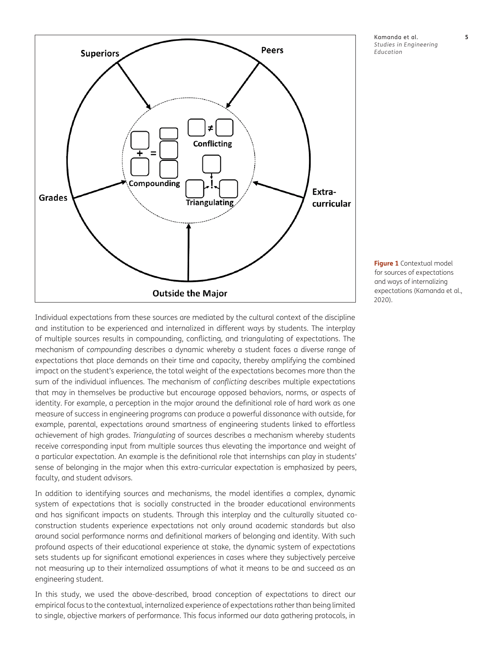

Kamanda et al. **5** *Studies in Engineering Education*

<span id="page-4-0"></span>**Figure 1** Contextual model for sources of expectations and ways of internalizing expectations (Kamanda et al., 2020).

Individual expectations from these sources are mediated by the cultural context of the discipline and institution to be experienced and internalized in different ways by students. The interplay of multiple sources results in compounding, conflicting, and triangulating of expectations. The mechanism of *compounding* describes a dynamic whereby a student faces a diverse range of expectations that place demands on their time and capacity, thereby amplifying the combined impact on the student's experience, the total weight of the expectations becomes more than the sum of the individual influences. The mechanism of *conflicting* describes multiple expectations that may in themselves be productive but encourage opposed behaviors, norms, or aspects of identity. For example, a perception in the major around the definitional role of hard work as one measure of success in engineering programs can produce a powerful dissonance with outside, for example, parental, expectations around smartness of engineering students linked to effortless achievement of high grades. *Triangulating* of sources describes a mechanism whereby students receive corresponding input from multiple sources thus elevating the importance and weight of a particular expectation. An example is the definitional role that internships can play in students' sense of belonging in the major when this extra-curricular expectation is emphasized by peers, faculty, and student advisors.

In addition to identifying sources and mechanisms, the model identifies a complex, dynamic system of expectations that is socially constructed in the broader educational environments and has significant impacts on students. Through this interplay and the culturally situated coconstruction students experience expectations not only around academic standards but also around social performance norms and definitional markers of belonging and identity. With such profound aspects of their educational experience at stake, the dynamic system of expectations sets students up for significant emotional experiences in cases where they subjectively perceive not measuring up to their internalized assumptions of what it means to be and succeed as an engineering student.

In this study, we used the above-described, broad conception of expectations to direct our empirical focus to the contextual, internalized experience of expectations rather than being limited to single, objective markers of performance. This focus informed our data gathering protocols, in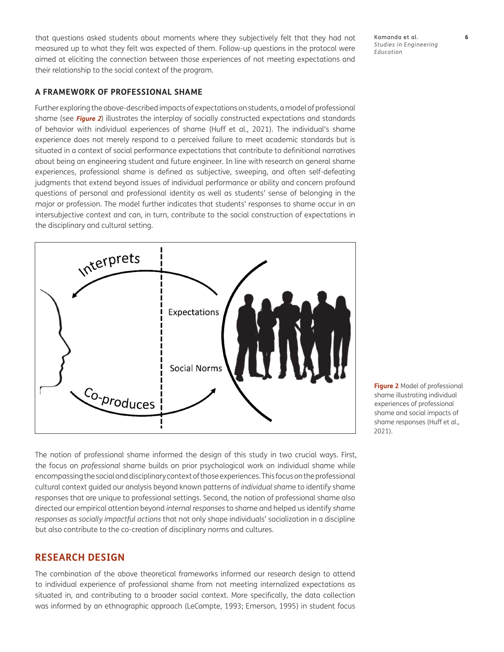that questions asked students about moments where they subjectively felt that they had not measured up to what they felt was expected of them. Follow-up questions in the protocol were aimed at eliciting the connection between those experiences of not meeting expectations and their relationship to the social context of the program.

Kamanda et al. **6** *Studies in Engineering Education*

#### **A FRAMEWORK OF PROFESSIONAL SHAME**

Further exploring the above-described impacts of expectations on students, a model of professional shame (see **[Figure 2](#page-5-0)**) illustrates the interplay of socially constructed expectations and standards of behavior with individual experiences of shame [\(Huff et al., 2021](#page-24-0)). The individual's shame experience does not merely respond to a perceived failure to meet academic standards but is situated in a context of social performance expectations that contribute to definitional narratives about being an engineering student and future engineer. In line with research on general shame experiences, professional shame is defined as subjective, sweeping, and often self-defeating judgments that extend beyond issues of individual performance or ability and concern profound questions of personal and professional identity as well as students' sense of belonging in the major or profession. The model further indicates that students' responses to shame occur in an intersubjective context and can, in turn, contribute to the social construction of expectations in the disciplinary and cultural setting.



<span id="page-5-0"></span>**Figure 2** Model of professional shame illustrating individual experiences of professional shame and social impacts of shame responses (Huff et al., 2021).

The notion of professional shame informed the design of this study in two crucial ways. First, the focus on *professional* shame builds on prior psychological work on individual shame while encompassing the social and disciplinary context of those experiences. This focus on the professional cultural context guided our analysis beyond known patterns of *individual sham*e to identify shame responses that are unique to professional settings. Second, the notion of professional shame also directed our empirical attention beyond *internal responses* to shame and helped us identify *shame responses as socially impactful actions* that not only shape individuals' socialization in a discipline but also contribute to the co-creation of disciplinary norms and cultures.

## **RESEARCH DESIGN**

The combination of the above theoretical frameworks informed our research design to attend to individual experience of professional shame from not meeting internalized expectations as situated in, and contributing to a broader social context. More specifically, the data collection was informed by an ethnographic approach (LeCompte, 1993; Emerson, 1995) in student focus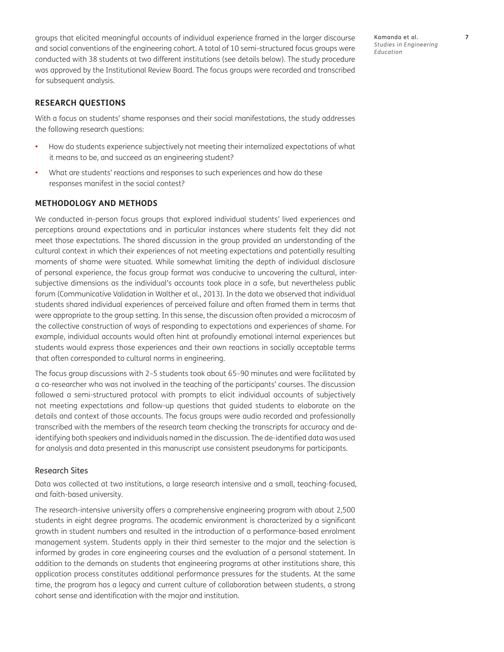groups that elicited meaningful accounts of individual experience framed in the larger discourse and social conventions of the engineering cohort. A total of 10 semi-structured focus groups were conducted with 38 students at two different institutions (see details below). The study procedure was approved by the Institutional Review Board. The focus groups were recorded and transcribed for subsequent analysis.

## **RESEARCH QUESTIONS**

With a focus on students' shame responses and their social manifestations, the study addresses the following research questions:

- How do students experience subjectively not meeting their internalized expectations of what it means to be, and succeed as an engineering student?
- What are students' reactions and responses to such experiences and how do these responses manifest in the social contest?

## **METHODOLOGY AND METHODS**

We conducted in-person focus groups that explored individual students' lived experiences and perceptions around expectations and in particular instances where students felt they did not meet those expectations. The shared discussion in the group provided an understanding of the cultural context in which their experiences of not meeting expectations and potentially resulting moments of shame were situated. While somewhat limiting the depth of individual disclosure of personal experience, the focus group format was conducive to uncovering the cultural, intersubjective dimensions as the individual's accounts took place in a safe, but nevertheless public forum (Communicative Validation in [Walther et al., 2013\)](#page-12-0). In the data we observed that individual students shared individual experiences of perceived failure and often framed them in terms that were appropriate to the group setting. In this sense, the discussion often provided a microcosm of the collective construction of ways of responding to expectations and experiences of shame. For example, individual accounts would often hint at profoundly emotional internal experiences but students would express those experiences and their own reactions in socially acceptable terms that often corresponded to cultural norms in engineering.

The focus group discussions with 2–5 students took about 65–90 minutes and were facilitated by a co-researcher who was not involved in the teaching of the participants' courses. The discussion followed a semi-structured protocol with prompts to elicit individual accounts of subjectively not meeting expectations and follow-up questions that guided students to elaborate on the details and context of those accounts. The focus groups were audio recorded and professionally transcribed with the members of the research team checking the transcripts for accuracy and deidentifying both speakers and individuals named in the discussion. The de-identified data was used for analysis and data presented in this manuscript use consistent pseudonyms for participants.

#### Research Sites

Data was collected at two institutions, a large research intensive and a small, teaching-focused, and faith-based university.

The research-intensive university offers a comprehensive engineering program with about 2,500 students in eight degree programs. The academic environment is characterized by a significant growth in student numbers and resulted in the introduction of a performance-based enrolment management system. Students apply in their third semester to the major and the selection is informed by grades in core engineering courses and the evaluation of a personal statement. In addition to the demands on students that engineering programs at other institutions share, this application process constitutes additional performance pressures for the students. At the same time, the program has a legacy and current culture of collaboration between students, a strong cohort sense and identification with the major and institution.

Kamanda et al. **7** *Studies in Engineering Education*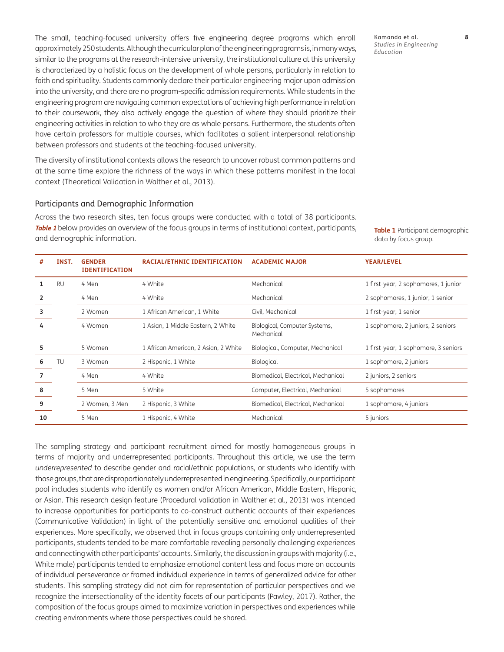The small, teaching-focused university offers five engineering degree programs which enroll approximately 250 students. Although the curricular plan of the engineering programs is, in many ways, similar to the programs at the research-intensive university, the institutional culture at this university is characterized by a holistic focus on the development of whole persons, particularly in relation to faith and spirituality. Students commonly declare their particular engineering major upon admission into the university, and there are no program-specific admission requirements. While students in the engineering program are navigating common expectations of achieving high performance in relation to their coursework, they also actively engage the question of where they should prioritize their engineering activities in relation to who they are as whole persons. Furthermore, the students often have certain professors for multiple courses, which facilitates a salient interpersonal relationship between professors and students at the teaching-focused university.

The diversity of institutional contexts allows the research to uncover robust common patterns and at the same time explore the richness of the ways in which these patterns manifest in the local context (Theoretical Validation in [Walther et al., 2013](#page-25-0)).

#### Participants and Demographic Information

**# INST. GENDER** 

Across the two research sites, ten focus groups were conducted with a total of 38 participants. **[Table 1](#page-7-0)** below provides an overview of the focus groups in terms of institutional context, participants, and demographic information.

<span id="page-7-0"></span>**Table 1** Participant demographic data by focus group.

| *                       | INJI.     | GENDER<br><b>IDENTIFICATION</b> | <b>RACIAL/EINNIC IDENTIFICATION</b>  | <b>ALADEMIL MAJUR</b>                       | <b>ICAR/LEVEL</b>                    |
|-------------------------|-----------|---------------------------------|--------------------------------------|---------------------------------------------|--------------------------------------|
| 1                       | <b>RU</b> | 4 Men                           | 4 White                              | Mechanical                                  | 1 first-year, 2 sophomores, 1 junior |
| $\overline{\mathbf{2}}$ |           | 4 Men                           | 4 White                              | Mechanical                                  | 2 sophomores, 1 junior, 1 senior     |
| 3                       |           | 2 Women                         | 1 African American, 1 White          | Civil, Mechanical                           | 1 first-year, 1 senior               |
| 4                       |           | 4 Women                         | 1 Asian, 1 Middle Eastern, 2 White   | Biological, Computer Systems,<br>Mechanical | 1 sophomore, 2 juniors, 2 seniors    |
| 5                       |           | 5 Women                         | 1 African American, 2 Asian, 2 White | Biological, Computer, Mechanical            | 1 first-year, 1 sophomore, 3 seniors |
| 6                       | TU        | 3 Women                         | 2 Hispanic, 1 White                  | Biological                                  | 1 sophomore, 2 juniors               |
| $\overline{7}$          |           | 4 Men                           | 4 White                              | Biomedical, Electrical, Mechanical          | 2 juniors, 2 seniors                 |
| 8                       |           | 5 Men                           | 5 White                              | Computer, Electrical, Mechanical            | 5 sophomores                         |
| 9                       |           | 2 Women, 3 Men                  | 2 Hispanic, 3 White                  | Biomedical, Electrical, Mechanical          | 1 sophomore, 4 juniors               |
| 10                      |           | 5 Men                           | 1 Hispanic, 4 White                  | Mechanical                                  | 5 juniors                            |
|                         |           |                                 |                                      |                                             |                                      |

**RACIAL/ETHNIC IDENTIFICATION ACADEMIC MAJOR YEAR/LEVEL**

The sampling strategy and participant recruitment aimed for mostly homogeneous groups in terms of majority and underrepresented participants. Throughout this article, we use the term *underrepresented* to describe gender and racial/ethnic populations, or students who identify with those groups, that are disproportionately underrepresented in engineering. Specifically, our participant pool includes students who identify as women and/or African American, Middle Eastern, Hispanic, or Asian. This research design feature (Procedural validation in [Walther et al., 2013](#page-25-0)) was intended to increase opportunities for participants to co-construct authentic accounts of their experiences (Communicative Validation) in light of the potentially sensitive and emotional qualities of their experiences. More specifically, we observed that in focus groups containing only underrepresented participants, students tended to be more comfortable revealing personally challenging experiences and connecting with other participants' accounts. Similarly, the discussion in groups with majority (i.e., White male) participants tended to emphasize emotional content less and focus more on accounts of individual perseverance or framed individual experience in terms of generalized advice for other students. This sampling strategy did not aim for representation of particular perspectives and we recognize the intersectionality of the identity facets of our participants ([Pawley, 2017](#page-24-0)). Rather, the composition of the focus groups aimed to maximize variation in perspectives and experiences while creating environments where those perspectives could be shared.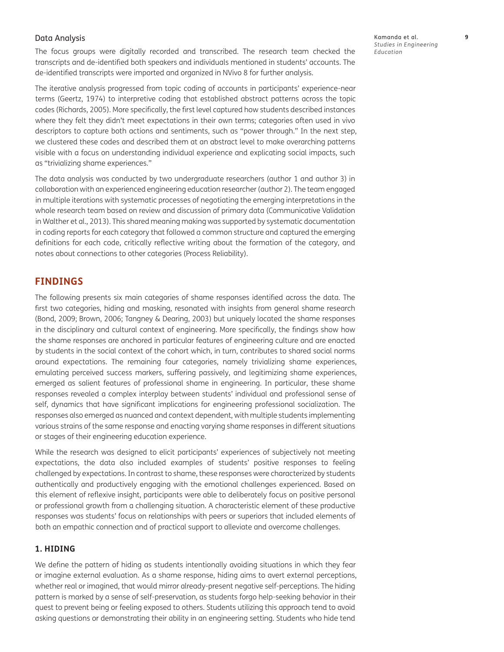#### Data Analysis

The focus groups were digitally recorded and transcribed. The research team checked the transcripts and de-identified both speakers and individuals mentioned in students' accounts. The de-identified transcripts were imported and organized in NVivo 8 for further analysis.

Kamanda et al. **9** *Studies in Engineering Education*

The iterative analysis progressed from topic coding of accounts in participants' experience-near terms ([Geertz, 1974](#page-23-0)) to interpretive coding that established abstract patterns across the topic codes [\(Richards, 2005\)](#page-24-0). More specifically, the first level captured how students described instances where they felt they didn't meet expectations in their own terms; categories often used in vivo descriptors to capture both actions and sentiments, such as "power through." In the next step, we clustered these codes and described them at an abstract level to make overarching patterns visible with a focus on understanding individual experience and explicating social impacts, such as "trivializing shame experiences."

The data analysis was conducted by two undergraduate researchers (author 1 and author 3) in collaboration with an experienced engineering education researcher (author 2). The team engaged in multiple iterations with systematic processes of negotiating the emerging interpretations in the whole research team based on review and discussion of primary data (Communicative Validation in [Walther et al., 2013\)](#page-25-0). This shared meaning making was supported by systematic documentation in coding reports for each category that followed a common structure and captured the emerging definitions for each code, critically reflective writing about the formation of the category, and notes about connections to other categories (Process Reliability).

## **FINDINGS**

The following presents six main categories of shame responses identified across the data. The first two categories, hiding and masking, resonated with insights from general shame research [\(Bond, 2009;](#page-22-0) [Brown, 2006](#page-22-0); [Tangney & Dearing, 2003](#page-26-0)) but uniquely located the shame responses in the disciplinary and cultural context of engineering. More specifically, the findings show how the shame responses are anchored in particular features of engineering culture and are enacted by students in the social context of the cohort which, in turn, contributes to shared social norms around expectations. The remaining four categories, namely trivializing shame experiences, emulating perceived success markers, suffering passively, and legitimizing shame experiences, emerged as salient features of professional shame in engineering. In particular, these shame responses revealed a complex interplay between students' individual and professional sense of self, dynamics that have significant implications for engineering professional socialization. The responses also emerged as nuanced and context dependent, with multiple students implementing various strains of the same response and enacting varying shame responses in different situations or stages of their engineering education experience.

While the research was designed to elicit participants' experiences of subjectively not meeting expectations, the data also included examples of students' positive responses to feeling challenged by expectations. In contrast to shame, these responses were characterized by students authentically and productively engaging with the emotional challenges experienced. Based on this element of reflexive insight, participants were able to deliberately focus on positive personal or professional growth from a challenging situation. A characteristic element of these productive responses was students' focus on relationships with peers or superiors that included elements of both an empathic connection and of practical support to alleviate and overcome challenges.

## **1. HIDING**

We define the pattern of hiding as students intentionally avoiding situations in which they fear or imagine external evaluation. As a shame response, hiding aims to avert external perceptions, whether real or imagined, that would mirror already-present negative self-perceptions. The hiding pattern is marked by a sense of self-preservation, as students forgo help-seeking behavior in their quest to prevent being or feeling exposed to others. Students utilizing this approach tend to avoid asking questions or demonstrating their ability in an engineering setting. Students who hide tend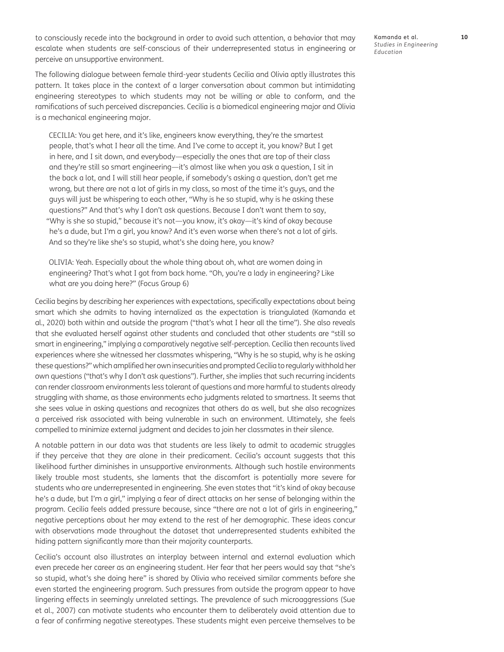to consciously recede into the background in order to avoid such attention, a behavior that may escalate when students are self-conscious of their underrepresented status in engineering or perceive an unsupportive environment.

The following dialogue between female third-year students Cecilia and Olivia aptly illustrates this pattern. It takes place in the context of a larger conversation about common but intimidating engineering stereotypes to which students may not be willing or able to conform, and the ramifications of such perceived discrepancies. Cecilia is a biomedical engineering major and Olivia is a mechanical engineering major.

CECILIA: You get here, and it's like, engineers know everything, they're the smartest people, that's what I hear all the time. And I've come to accept it, you know? But I get in here, and I sit down, and everybody—especially the ones that are top of their class and they're still so smart engineering—it's almost like when you ask a question, I sit in the back a lot, and I will still hear people, if somebody's asking a question, don't get me wrong, but there are not a lot of girls in my class, so most of the time it's guys, and the guys will just be whispering to each other, "Why is he so stupid, why is he asking these questions?" And that's why I don't ask questions. Because I don't want them to say, "Why is she so stupid," because it's not—you know, it's okay—it's kind of okay because he's a dude, but I'm a girl, you know? And it's even worse when there's not a lot of girls. And so they're like she's so stupid, what's she doing here, you know?

OLIVIA: Yeah. Especially about the whole thing about oh, what are women doing in engineering? That's what I got from back home. "Oh, you're a lady in engineering? Like what are you doing here?" (Focus Group 6)

Cecilia begins by describing her experiences with expectations, specifically expectations about being smart which she admits to having internalized as the expectation is triangulated [\(Kamanda et](#page-24-0) [al., 2020\)](#page-24-0) both within and outside the program ("that's what I hear all the time"). She also reveals that she evaluated herself against other students and concluded that other students are "still so smart in engineering," implying a comparatively negative self-perception. Cecilia then recounts lived experiences where she witnessed her classmates whispering, "Why is he so stupid, why is he asking these questions?" which amplified her own insecurities and prompted Cecilia to regularly withhold her own questions ("that's why I don't ask questions"). Further, she implies that such recurring incidents can render classroom environments less tolerant of questions and more harmful to students already struggling with shame, as those environments echo judgments related to smartness. It seems that she sees value in asking questions and recognizes that others do as well, but she also recognizes a perceived risk associated with being vulnerable in such an environment. Ultimately, she feels compelled to minimize external judgment and decides to join her classmates in their silence.

A notable pattern in our data was that students are less likely to admit to academic struggles if they perceive that they are alone in their predicament. Cecilia's account suggests that this likelihood further diminishes in unsupportive environments. Although such hostile environments likely trouble most students, she laments that the discomfort is potentially more severe for students who are underrepresented in engineering. She even states that "it's kind of okay because he's a dude, but I'm a girl," implying a fear of direct attacks on her sense of belonging within the program. Cecilia feels added pressure because, since "there are not a lot of girls in engineering," negative perceptions about her may extend to the rest of her demographic. These ideas concur with observations made throughout the dataset that underrepresented students exhibited the hiding pattern significantly more than their majority counterparts.

Cecilia's account also illustrates an interplay between internal and external evaluation which even precede her career as an engineering student. Her fear that her peers would say that "she's so stupid, what's she doing here" is shared by Olivia who received similar comments before she even started the engineering program. Such pressures from outside the program appear to have lingering effects in seemingly unrelated settings. The prevalence of such microaggressions ([Sue](#page-26-0)  [et al., 2007](#page-26-0)) can motivate students who encounter them to deliberately avoid attention due to a fear of confirming negative stereotypes. These students might even perceive themselves to be

Kamanda et al. **10** *Studies in Engineering Education*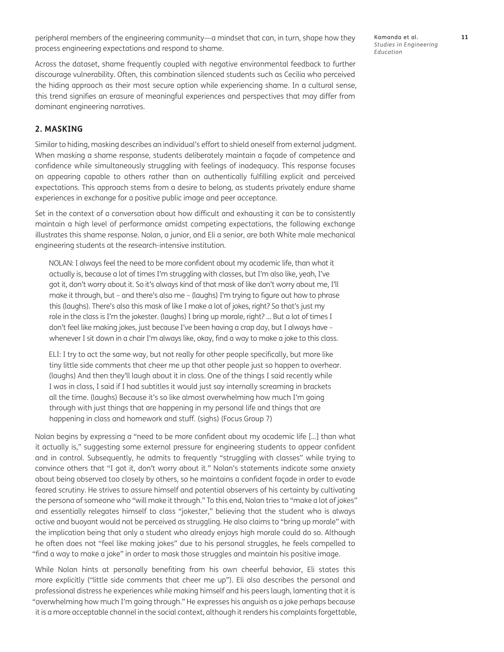peripheral members of the engineering community—a mindset that can, in turn, shape how they process engineering expectations and respond to shame.

Kamanda et al. **11** *Studies in Engineering Education*

Across the dataset, shame frequently coupled with negative environmental feedback to further discourage vulnerability. Often, this combination silenced students such as Cecilia who perceived the hiding approach as their most secure option while experiencing shame. In a cultural sense, this trend signifies an erasure of meaningful experiences and perspectives that may differ from dominant engineering narratives.

### **2. MASKING**

Similar to hiding, masking describes an individual's effort to shield oneself from external judgment. When masking a shame response, students deliberately maintain a façade of competence and confidence while simultaneously struggling with feelings of inadequacy. This response focuses on appearing capable to others rather than on authentically fulfilling explicit and perceived expectations. This approach stems from a desire to belong, as students privately endure shame experiences in exchange for a positive public image and peer acceptance.

Set in the context of a conversation about how difficult and exhausting it can be to consistently maintain a high level of performance amidst competing expectations, the following exchange illustrates this shame response. Nolan, a junior, and Eli a senior, are both White male mechanical engineering students at the research-intensive institution.

NOLAN: I always feel the need to be more confident about my academic life, than what it actually is, because a lot of times I'm struggling with classes, but I'm also like, yeah, I've got it, don't worry about it. So it's always kind of that mask of like don't worry about me, I'll make it through, but – and there's also me – (laughs) I'm trying to figure out how to phrase this (laughs). There's also this mask of like I make a lot of jokes, right? So that's just my role in the class is I'm the jokester. (laughs) I bring up morale, right? … But a lot of times I don't feel like making jokes, just because I've been having a crap day, but I always have – whenever I sit down in a chair I'm always like, okay, find a way to make a joke to this class.

ELI: I try to act the same way, but not really for other people specifically, but more like tiny little side comments that cheer me up that other people just so happen to overhear. (laughs) And then they'll laugh about it in class. One of the things I said recently while I was in class, I said if I had subtitles it would just say internally screaming in brackets all the time. (laughs) Because it's so like almost overwhelming how much I'm going through with just things that are happening in my personal life and things that are happening in class and homework and stuff. (sighs) (Focus Group 7)

Nolan begins by expressing a "need to be more confident about my academic life […] than what it actually is," suggesting some external pressure for engineering students to appear confident and in control. Subsequently, he admits to frequently "struggling with classes" while trying to convince others that "I got it, don't worry about it." Nolan's statements indicate some anxiety about being observed too closely by others, so he maintains a confident façade in order to evade feared scrutiny. He strives to assure himself and potential observers of his certainty by cultivating the persona of someone who "will make it through." To this end, Nolan tries to "make a lot of jokes" and essentially relegates himself to class "jokester," believing that the student who is always active and buoyant would not be perceived as struggling. He also claims to "bring up morale" with the implication being that only a student who already enjoys high morale could do so. Although he often does not "feel like making jokes" due to his personal struggles, he feels compelled to "find a way to make a joke" in order to mask those struggles and maintain his positive image.

While Nolan hints at personally benefiting from his own cheerful behavior, Eli states this more explicitly ("little side comments that cheer me up"). Eli also describes the personal and professional distress he experiences while making himself and his peers laugh, lamenting that it is "overwhelming how much I'm going through." He expresses his anguish as a joke perhaps because it is a more acceptable channel in the social context, although it renders his complaints forgettable,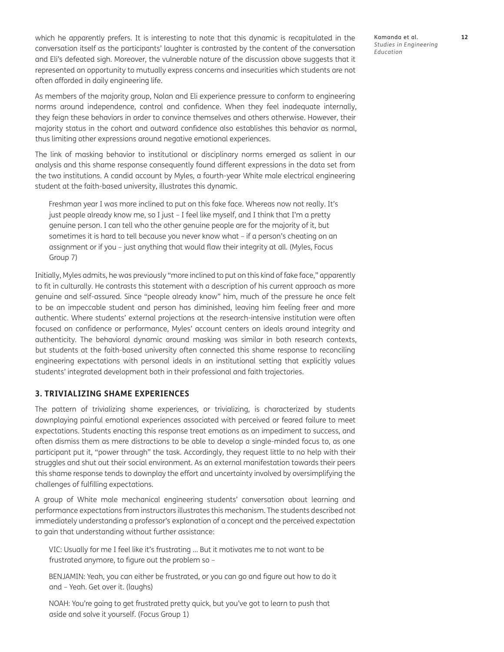which he apparently prefers. It is interesting to note that this dynamic is recapitulated in the conversation itself as the participants' laughter is contrasted by the content of the conversation and Eli's defeated sigh. Moreover, the vulnerable nature of the discussion above suggests that it represented an opportunity to mutually express concerns and insecurities which students are not often afforded in daily engineering life.

As members of the majority group, Nolan and Eli experience pressure to conform to engineering norms around independence, control and confidence. When they feel inadequate internally, they feign these behaviors in order to convince themselves and others otherwise. However, their majority status in the cohort and outward confidence also establishes this behavior as normal, thus limiting other expressions around negative emotional experiences.

The link of masking behavior to institutional or disciplinary norms emerged as salient in our analysis and this shame response consequently found different expressions in the data set from the two institutions. A candid account by Myles, a fourth-year White male electrical engineering student at the faith-based university, illustrates this dynamic.

Freshman year I was more inclined to put on this fake face. Whereas now not really. It's just people already know me, so I just – I feel like myself, and I think that I'm a pretty genuine person. I can tell who the other genuine people are for the majority of it, but sometimes it is hard to tell because you never know what – if a person's cheating on an assignment or if you – just anything that would flaw their integrity at all. (Myles, Focus Group 7)

Initially, Myles admits, he was previously "more inclined to put on this kind of fake face," apparently to fit in culturally. He contrasts this statement with a description of his current approach as more genuine and self-assured. Since "people already know" him, much of the pressure he once felt to be an impeccable student and person has diminished, leaving him feeling freer and more authentic. Where students' external projections at the research-intensive institution were often focused on confidence or performance, Myles' account centers on ideals around integrity and authenticity. The behavioral dynamic around masking was similar in both research contexts, but students at the faith-based university often connected this shame response to reconciling engineering expectations with personal ideals in an institutional setting that explicitly values students' integrated development both in their professional and faith trajectories.

### **3. TRIVIALIZING SHAME EXPERIENCES**

The pattern of trivializing shame experiences, or trivializing, is characterized by students downplaying painful emotional experiences associated with perceived or feared failure to meet expectations. Students enacting this response treat emotions as an impediment to success, and often dismiss them as mere distractions to be able to develop a single-minded focus to, as one participant put it, "power through" the task. Accordingly, they request little to no help with their struggles and shut out their social environment. As an external manifestation towards their peers this shame response tends to downplay the effort and uncertainty involved by oversimplifying the challenges of fulfilling expectations.

A group of White male mechanical engineering students' conversation about learning and performance expectations from instructors illustrates this mechanism. The students described not immediately understanding a professor's explanation of a concept and the perceived expectation to gain that understanding without further assistance:

VIC: Usually for me I feel like it's frustrating … But it motivates me to not want to be frustrated anymore, to figure out the problem so –

BENJAMIN: Yeah, you can either be frustrated, or you can go and figure out how to do it and – Yeah. Get over it. (laughs)

NOAH: You're going to get frustrated pretty quick, but you've got to learn to push that aside and solve it yourself. (Focus Group 1)

Kamanda et al. **12** *Studies in Engineering Education*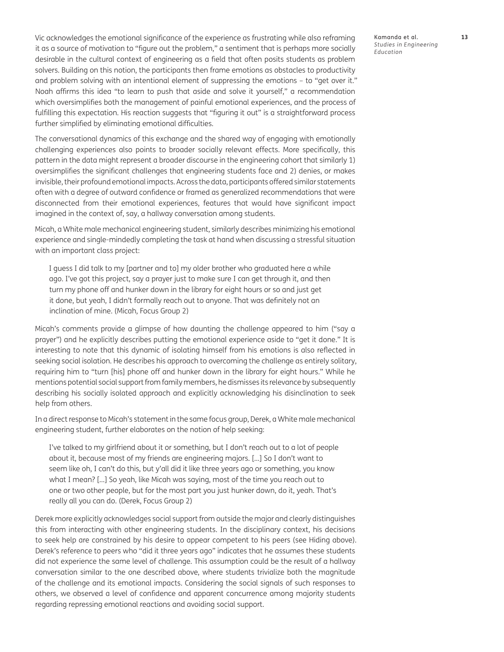<span id="page-12-0"></span>Vic acknowledges the emotional significance of the experience as frustrating while also reframing it as a source of motivation to "figure out the problem," a sentiment that is perhaps more socially desirable in the cultural context of engineering as a field that often posits students as problem solvers. Building on this notion, the participants then frame emotions as obstacles to productivity and problem solving with an intentional element of suppressing the emotions – to "get over it." Noah affirms this idea "to learn to push that aside and solve it yourself," a recommendation which oversimplifies both the management of painful emotional experiences, and the process of fulfilling this expectation. His reaction suggests that "figuring it out" is a straightforward process further simplified by eliminating emotional difficulties.

The conversational dynamics of this exchange and the shared way of engaging with emotionally challenging experiences also points to broader socially relevant effects. More specifically, this pattern in the data might represent a broader discourse in the engineering cohort that similarly 1) oversimplifies the significant challenges that engineering students face and 2) denies, or makes invisible, their profound emotional impacts. Across the data, participants offered similar statements often with a degree of outward confidence or framed as generalized recommendations that were disconnected from their emotional experiences, features that would have significant impact imagined in the context of, say, a hallway conversation among students.

Micah, a White male mechanical engineering student, similarly describes minimizing his emotional experience and single-mindedly completing the task at hand when discussing a stressful situation with an important class project:

I guess I did talk to my [partner and to] my older brother who graduated here a while ago. I've got this project, say a prayer just to make sure I can get through it, and then turn my phone off and hunker down in the library for eight hours or so and just get it done, but yeah, I didn't formally reach out to anyone. That was definitely not an inclination of mine. (Micah, Focus Group 2)

Micah's comments provide a glimpse of how daunting the challenge appeared to him ("say a prayer") and he explicitly describes putting the emotional experience aside to "get it done." It is interesting to note that this dynamic of isolating himself from his emotions is also reflected in seeking social isolation. He describes his approach to overcoming the challenge as entirely solitary, requiring him to "turn [his] phone off and hunker down in the library for eight hours." While he mentions potential social support from family members, he dismisses its relevance by subsequently describing his socially isolated approach and explicitly acknowledging his disinclination to seek help from others.

In a direct response to Micah's statement in the same focus group, Derek, a White male mechanical engineering student, further elaborates on the notion of help seeking:

I've talked to my girlfriend about it or something, but I don't reach out to a lot of people about it, because most of my friends are engineering majors. […] So I don't want to seem like oh, I can't do this, but y'all did it like three years ago or something, you know what I mean? […] So yeah, like Micah was saying, most of the time you reach out to one or two other people, but for the most part you just hunker down, do it, yeah. That's really all you can do. (Derek, Focus Group 2)

Derek more explicitly acknowledges social support from outside the major and clearly distinguishes this from interacting with other engineering students. In the disciplinary context, his decisions to seek help are constrained by his desire to appear competent to his peers (see Hiding above). Derek's reference to peers who "did it three years ago" indicates that he assumes these students did not experience the same level of challenge. This assumption could be the result of a hallway conversation similar to the one described above, where students trivialize both the magnitude of the challenge and its emotional impacts. Considering the social signals of such responses to others, we observed a level of confidence and apparent concurrence among majority students regarding repressing emotional reactions and avoiding social support.

Kamanda et al. **13** *Studies in Engineering Education*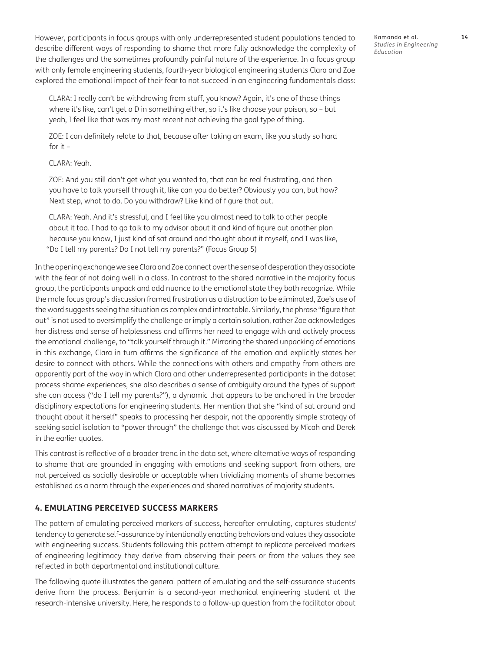However, participants in focus groups with only underrepresented student populations tended to describe different ways of responding to shame that more fully acknowledge the complexity of the challenges and the sometimes profoundly painful nature of the experience. In a focus group with only female engineering students, fourth-year biological engineering students Clara and Zoe explored the emotional impact of their fear to not succeed in an engineering fundamentals class:

CLARA: I really can't be withdrawing from stuff, you know? Again, it's one of those things where it's like, can't get a D in something either, so it's like choose your poison, so – but yeah, I feel like that was my most recent not achieving the goal type of thing.

ZOE: I can definitely relate to that, because after taking an exam, like you study so hard for it  $-$ 

### CLARA: Yeah.

ZOE: And you still don't get what you wanted to, that can be real frustrating, and then you have to talk yourself through it, like can you do better? Obviously you can, but how? Next step, what to do. Do you withdraw? Like kind of figure that out.

CLARA: Yeah. And it's stressful, and I feel like you almost need to talk to other people about it too. I had to go talk to my advisor about it and kind of figure out another plan because you know, I just kind of sat around and thought about it myself, and I was like, "Do I tell my parents? Do I not tell my parents?" (Focus Group 5)

In the opening exchange we see Clara and Zoe connect over the sense of desperation they associate with the fear of not doing well in a class. In contrast to the shared narrative in the majority focus group, the participants unpack and add nuance to the emotional state they both recognize. While the male focus group's discussion framed frustration as a distraction to be eliminated, Zoe's use of the word suggests seeing the situation as complex and intractable. Similarly, the phrase "figure that out" is not used to oversimplify the challenge or imply a certain solution, rather Zoe acknowledges her distress and sense of helplessness and affirms her need to engage with and actively process the emotional challenge, to "talk yourself through it." Mirroring the shared unpacking of emotions in this exchange, Clara in turn affirms the significance of the emotion and explicitly states her desire to connect with others. While the connections with others and empathy from others are apparently part of the way in which Clara and other underrepresented participants in the dataset process shame experiences, she also describes a sense of ambiguity around the types of support she can access ("do I tell my parents?"), a dynamic that appears to be anchored in the broader disciplinary expectations for engineering students. Her mention that she "kind of sat around and thought about it herself" speaks to processing her despair, not the apparently simple strategy of seeking social isolation to "power through" the challenge that was discussed by Micah and Derek in the earlier quotes.

This contrast is reflective of a broader trend in the data set, where alternative ways of responding to shame that are grounded in engaging with emotions and seeking support from others, are not perceived as socially desirable or acceptable when trivializing moments of shame becomes established as a norm through the experiences and shared narratives of majority students.

## **4. EMULATING PERCEIVED SUCCESS MARKERS**

The pattern of emulating perceived markers of success, hereafter emulating, captures students' tendency to generate self-assurance by intentionally enacting behaviors and values they associate with engineering success. Students following this pattern attempt to replicate perceived markers of engineering legitimacy they derive from observing their peers or from the values they see reflected in both departmental and institutional culture.

The following quote illustrates the general pattern of emulating and the self-assurance students derive from the process. Benjamin is a second-year mechanical engineering student at the research-intensive university. Here, he responds to a follow-up question from the facilitator about Kamanda et al. **14** *Studies in Engineering Education*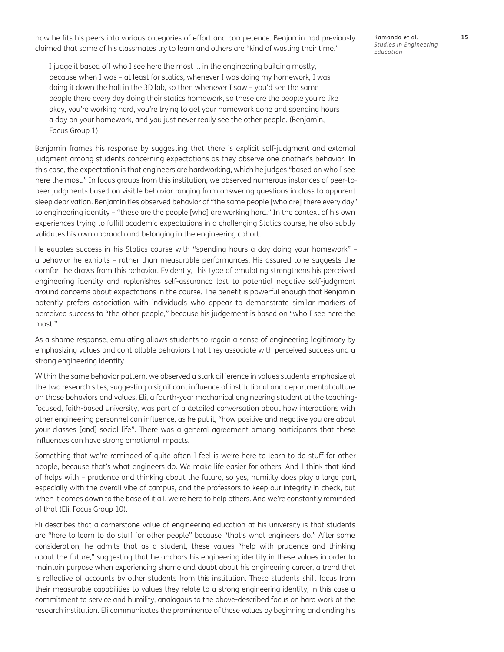how he fits his peers into various categories of effort and competence. Benjamin had previously claimed that some of his classmates try to learn and others are "kind of wasting their time."

I judge it based off who I see here the most … in the engineering building mostly, because when I was – at least for statics, whenever I was doing my homework, I was doing it down the hall in the 3D lab, so then whenever I saw – you'd see the same people there every day doing their statics homework, so these are the people you're like okay, you're working hard, you're trying to get your homework done and spending hours a day on your homework, and you just never really see the other people. (Benjamin, Focus Group 1)

Benjamin frames his response by suggesting that there is explicit self-judgment and external judgment among students concerning expectations as they observe one another's behavior. In this case, the expectation is that engineers are hardworking, which he judges "based on who I see here the most." In focus groups from this institution, we observed numerous instances of peer-topeer judgments based on visible behavior ranging from answering questions in class to apparent sleep deprivation. Benjamin ties observed behavior of "the same people [who are] there every day" to engineering identity – "these are the people [who] are working hard." In the context of his own experiences trying to fulfill academic expectations in a challenging Statics course, he also subtly validates his own approach and belonging in the engineering cohort.

He equates success in his Statics course with "spending hours a day doing your homework" – a behavior he exhibits – rather than measurable performances. His assured tone suggests the comfort he draws from this behavior. Evidently, this type of emulating strengthens his perceived engineering identity and replenishes self-assurance lost to potential negative self-judgment around concerns about expectations in the course. The benefit is powerful enough that Benjamin patently prefers association with individuals who appear to demonstrate similar markers of perceived success to "the other people," because his judgement is based on "who I see here the most."

As a shame response, emulating allows students to regain a sense of engineering legitimacy by emphasizing values and controllable behaviors that they associate with perceived success and a strong engineering identity.

Within the same behavior pattern, we observed a stark difference in values students emphasize at the two research sites, suggesting a significant influence of institutional and departmental culture on those behaviors and values. Eli, a fourth-year mechanical engineering student at the teachingfocused, faith-based university, was part of a detailed conversation about how interactions with other engineering personnel can influence, as he put it, "how positive and negative you are about your classes [and] social life". There was a general agreement among participants that these influences can have strong emotional impacts.

Something that we're reminded of quite often I feel is we're here to learn to do stuff for other people, because that's what engineers do. We make life easier for others. And I think that kind of helps with – prudence and thinking about the future, so yes, humility does play a large part, especially with the overall vibe of campus, and the professors to keep our integrity in check, but when it comes down to the base of it all, we're here to help others. And we're constantly reminded of that (Eli, Focus Group 10).

Eli describes that a cornerstone value of engineering education at his university is that students are "here to learn to do stuff for other people" because "that's what engineers do." After some consideration, he admits that as a student, these values "help with prudence and thinking about the future," suggesting that he anchors his engineering identity in these values in order to maintain purpose when experiencing shame and doubt about his engineering career, a trend that is reflective of accounts by other students from this institution. These students shift focus from their measurable capabilities to values they relate to a strong engineering identity, in this case a commitment to service and humility, analogous to the above-described focus on hard work at the research institution. Eli communicates the prominence of these values by beginning and ending his

Kamanda et al. **15** *Studies in Engineering Education*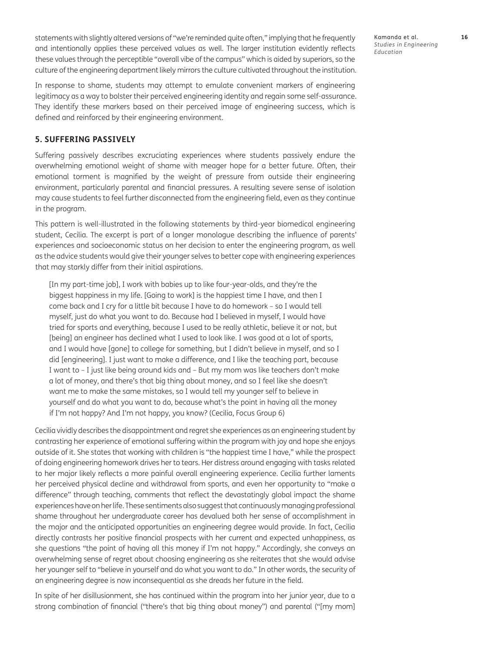statements with slightly altered versions of "we're reminded quite often," implying that he frequently and intentionally applies these perceived values as well. The larger institution evidently reflects these values through the perceptible "overall vibe of the campus" which is aided by superiors, so the culture of the engineering department likely mirrors the culture cultivated throughout the institution.

In response to shame, students may attempt to emulate convenient markers of engineering legitimacy as a way to bolster their perceived engineering identity and regain some self-assurance. They identify these markers based on their perceived image of engineering success, which is defined and reinforced by their engineering environment.

### **5. SUFFERING PASSIVELY**

Suffering passively describes excruciating experiences where students passively endure the overwhelming emotional weight of shame with meager hope for a better future. Often, their emotional torment is magnified by the weight of pressure from outside their engineering environment, particularly parental and financial pressures. A resulting severe sense of isolation may cause students to feel further disconnected from the engineering field, even as they continue in the program.

This pattern is well-illustrated in the following statements by third-year biomedical engineering student, Cecilia. The excerpt is part of a longer monologue describing the influence of parents' experiences and socioeconomic status on her decision to enter the engineering program, as well as the advice students would give their younger selves to better cope with engineering experiences that may starkly differ from their initial aspirations.

[In my part-time job], I work with babies up to like four-year-olds, and they're the biggest happiness in my life. [Going to work] is the happiest time I have, and then I come back and I cry for a little bit because I have to do homework – so I would tell myself, just do what you want to do. Because had I believed in myself, I would have tried for sports and everything, because I used to be really athletic, believe it or not, but [being] an engineer has declined what I used to look like. I was good at a lot of sports, and I would have [gone] to college for something, but I didn't believe in myself, and so I did [engineering]. I just want to make a difference, and I like the teaching part, because I want to – I just like being around kids and – But my mom was like teachers don't make a lot of money, and there's that big thing about money, and so I feel like she doesn't want me to make the same mistakes, so I would tell my younger self to believe in yourself and do what you want to do, because what's the point in having all the money if I'm not happy? And I'm not happy, you know? (Cecilia, Focus Group 6)

Cecilia vividly describes the disappointment and regret she experiences as an engineering student by contrasting her experience of emotional suffering within the program with joy and hope she enjoys outside of it. She states that working with children is "the happiest time I have," while the prospect of doing engineering homework drives her to tears. Her distress around engaging with tasks related to her major likely reflects a more painful overall engineering experience. Cecilia further laments her perceived physical decline and withdrawal from sports, and even her opportunity to "make a difference" through teaching, comments that reflect the devastatingly global impact the shame experiences have on her life. These sentiments also suggest that continuously managing professional shame throughout her undergraduate career has devalued both her sense of accomplishment in the major and the anticipated opportunities an engineering degree would provide. In fact, Cecilia directly contrasts her positive financial prospects with her current and expected unhappiness, as she questions "the point of having all this money if I'm not happy." Accordingly, she conveys an overwhelming sense of regret about choosing engineering as she reiterates that she would advise her younger self to "believe in yourself and do what you want to do." In other words, the security of an engineering degree is now inconsequential as she dreads her future in the field.

In spite of her disillusionment, she has continued within the program into her junior year, due to a strong combination of financial ("there's that big thing about money") and parental ("[my mom] Kamanda et al. **16** *Studies in Engineering Education*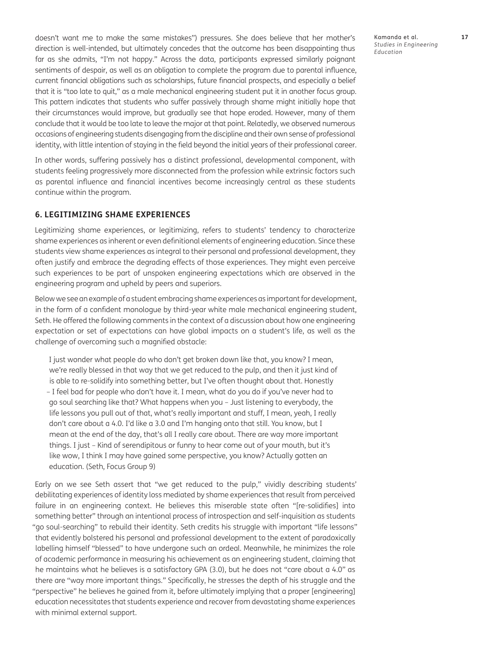doesn't want me to make the same mistakes") pressures. She does believe that her mother's direction is well-intended, but ultimately concedes that the outcome has been disappointing thus far as she admits, "I'm not happy." Across the data, participants expressed similarly poignant sentiments of despair, as well as an obligation to complete the program due to parental influence, current financial obligations such as scholarships, future financial prospects, and especially a belief that it is "too late to quit," as a male mechanical engineering student put it in another focus group. This pattern indicates that students who suffer passively through shame might initially hope that their circumstances would improve, but gradually see that hope eroded. However, many of them conclude that it would be too late to leave the major at that point. Relatedly, we observed numerous occasions of engineering students disengaging from the discipline and their own sense of professional identity, with little intention of staying in the field beyond the initial years of their professional career.

In other words, suffering passively has a distinct professional, developmental component, with students feeling progressively more disconnected from the profession while extrinsic factors such as parental influence and financial incentives become increasingly central as these students continue within the program.

### **6. LEGITIMIZING SHAME EXPERIENCES**

Legitimizing shame experiences, or legitimizing, refers to students' tendency to characterize shame experiences as inherent or even definitional elements of engineering education. Since these students view shame experiences as integral to their personal and professional development, they often justify and embrace the degrading effects of those experiences. They might even perceive such experiences to be part of unspoken engineering expectations which are observed in the engineering program and upheld by peers and superiors.

Below we see an example of a student embracing shame experiences as important for development, in the form of a confident monologue by third-year white male mechanical engineering student, Seth. He offered the following comments in the context of a discussion about how one engineering expectation or set of expectations can have global impacts on a student's life, as well as the challenge of overcoming such a magnified obstacle:

I just wonder what people do who don't get broken down like that, you know? I mean, we're really blessed in that way that we get reduced to the pulp, and then it just kind of is able to re-solidify into something better, but I've often thought about that. Honestly – I feel bad for people who don't have it. I mean, what do you do if you've never had to go soul searching like that? What happens when you – Just listening to everybody, the life lessons you pull out of that, what's really important and stuff, I mean, yeah, I really don't care about a 4.0. I'd like a 3.0 and I'm hanging onto that still. You know, but I mean at the end of the day, that's all I really care about. There are way more important things. I just – Kind of serendipitous or funny to hear come out of your mouth, but it's like wow, I think I may have gained some perspective, you know? Actually gotten an education. (Seth, Focus Group 9)

Early on we see Seth assert that "we get reduced to the pulp," vividly describing students' debilitating experiences of identity loss mediated by shame experiences that result from perceived failure in an engineering context. He believes this miserable state often "[re-solidifies] into something better" through an intentional process of introspection and self-inquisition as students "go soul-searching" to rebuild their identity. Seth credits his struggle with important "life lessons" that evidently bolstered his personal and professional development to the extent of paradoxically labelling himself "blessed" to have undergone such an ordeal. Meanwhile, he minimizes the role of academic performance in measuring his achievement as an engineering student, claiming that he maintains what he believes is a satisfactory GPA (3.0), but he does not "care about a 4.0" as there are "way more important things." Specifically, he stresses the depth of his struggle and the "perspective" he believes he gained from it, before ultimately implying that a proper [engineering] education necessitates that students experience and recover from devastating shame experiences with minimal external support.

Kamanda et al. **17** *Studies in Engineering Education*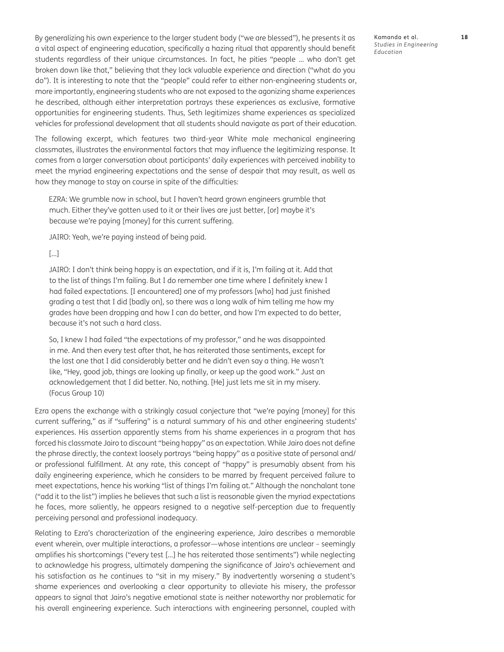By generalizing his own experience to the larger student body ("we are blessed"), he presents it as a vital aspect of engineering education, specifically a hazing ritual that apparently should benefit students regardless of their unique circumstances. In fact, he pities "people … who don't get broken down like that," believing that they lack valuable experience and direction ("what do you do"). It is interesting to note that the "people" could refer to either non-engineering students or, more importantly, engineering students who are not exposed to the agonizing shame experiences he described, although either interpretation portrays these experiences as exclusive, formative opportunities for engineering students. Thus, Seth legitimizes shame experiences as specialized vehicles for professional development that all students should navigate as part of their education.

The following excerpt, which features two third-year White male mechanical engineering classmates, illustrates the environmental factors that may influence the legitimizing response. It comes from a larger conversation about participants' daily experiences with perceived inability to meet the myriad engineering expectations and the sense of despair that may result, as well as how they manage to stay on course in spite of the difficulties:

EZRA: We grumble now in school, but I haven't heard grown engineers grumble that much. Either they've gotten used to it or their lives are just better, [or] maybe it's because we're paying [money] for this current suffering.

JAIRO: Yeah, we're paying instead of being paid.

[…]

JAIRO: I don't think being happy is an expectation, and if it is, I'm failing at it. Add that to the list of things I'm failing. But I do remember one time where I definitely knew I had failed expectations. [I encountered] one of my professors [who] had just finished grading a test that I did [badly on], so there was a long walk of him telling me how my grades have been dropping and how I can do better, and how I'm expected to do better, because it's not such a hard class.

So, I knew I had failed "the expectations of my professor," and he was disappointed in me. And then every test after that, he has reiterated those sentiments, except for the last one that I did considerably better and he didn't even say a thing. He wasn't like, "Hey, good job, things are looking up finally, or keep up the good work." Just an acknowledgement that I did better. No, nothing. [He] just lets me sit in my misery. (Focus Group 10)

Ezra opens the exchange with a strikingly casual conjecture that "we're paying [money] for this current suffering," as if "suffering" is a natural summary of his and other engineering students' experiences. His assertion apparently stems from his shame experiences in a program that has forced his classmate Jairo to discount "being happy" as an expectation. While Jairo does not define the phrase directly, the context loosely portrays "being happy" as a positive state of personal and/ or professional fulfillment. At any rate, this concept of "happy" is presumably absent from his daily engineering experience, which he considers to be marred by frequent perceived failure to meet expectations, hence his working "list of things I'm failing at." Although the nonchalant tone ("add it to the list") implies he believes that such a list is reasonable given the myriad expectations he faces, more saliently, he appears resigned to a negative self-perception due to frequently perceiving personal and professional inadequacy.

Relating to Ezra's characterization of the engineering experience, Jairo describes a memorable event wherein, over multiple interactions, a professor—whose intentions are unclear – seemingly amplifies his shortcomings ("every test […] he has reiterated those sentiments") while neglecting to acknowledge his progress, ultimately dampening the significance of Jairo's achievement and his satisfaction as he continues to "sit in my misery." By inadvertently worsening a student's shame experiences and overlooking a clear opportunity to alleviate his misery, the professor appears to signal that Jairo's negative emotional state is neither noteworthy nor problematic for his overall engineering experience. Such interactions with engineering personnel, coupled with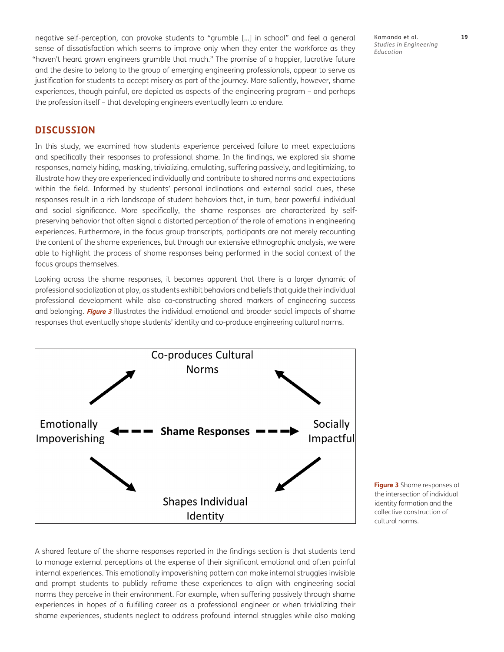negative self-perception, can provoke students to "grumble […] in school" and feel a general sense of dissatisfaction which seems to improve only when they enter the workforce as they "haven't heard grown engineers grumble that much." The promise of a happier, lucrative future and the desire to belong to the group of emerging engineering professionals, appear to serve as justification for students to accept misery as part of the journey. More saliently, however, shame experiences, though painful, are depicted as aspects of the engineering program – and perhaps the profession itself – that developing engineers eventually learn to endure.

**DISCUSSION**

In this study, we examined how students experience perceived failure to meet expectations and specifically their responses to professional shame. In the findings, we explored six shame responses, namely hiding, masking, trivializing, emulating, suffering passively, and legitimizing, to illustrate how they are experienced individually and contribute to shared norms and expectations within the field. Informed by students' personal inclinations and external social cues, these responses result in a rich landscape of student behaviors that, in turn, bear powerful individual and social significance. More specifically, the shame responses are characterized by selfpreserving behavior that often signal a distorted perception of the role of emotions in engineering experiences. Furthermore, in the focus group transcripts, participants are not merely recounting the content of the shame experiences, but through our extensive ethnographic analysis, we were able to highlight the process of shame responses being performed in the social context of the focus groups themselves.

Looking across the shame responses, it becomes apparent that there is a larger dynamic of professional socialization at play, as students exhibit behaviors and beliefs that guide their individual professional development while also co-constructing shared markers of engineering success and belonging. **[Figure 3](#page-18-0)** illustrates the individual emotional and broader social impacts of shame responses that eventually shape students' identity and co-produce engineering cultural norms.



<span id="page-18-0"></span>**Figure 3** Shame responses at the intersection of individual identity formation and the collective construction of cultural norms.

A shared feature of the shame responses reported in the findings section is that students tend to manage external perceptions at the expense of their significant emotional and often painful internal experiences. This emotionally impoverishing pattern can make internal struggles invisible and prompt students to publicly reframe these experiences to align with engineering social norms they perceive in their environment. For example, when suffering passively through shame experiences in hopes of a fulfilling career as a professional engineer or when trivializing their shame experiences, students neglect to address profound internal struggles while also making

Kamanda et al. **19** *Studies in Engineering Education*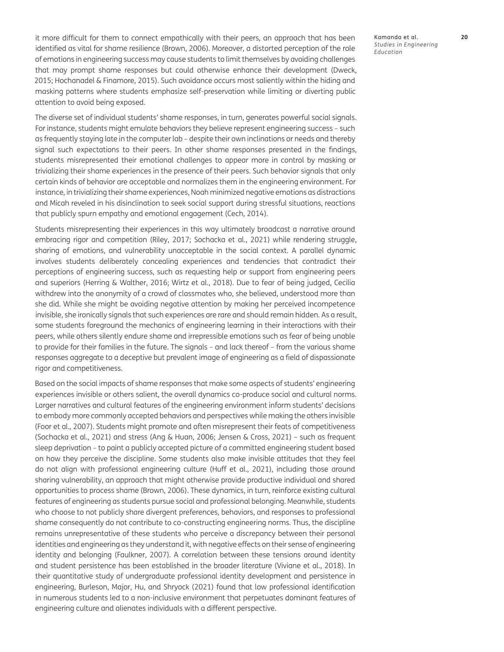it more difficult for them to connect empathically with their peers, an approach that has been identified as vital for shame resilience ([Brown, 2006](#page-22-0)). Moreover, a distorted perception of the role of emotions in engineering success may cause students to limit themselves by avoiding challenges that may prompt shame responses but could otherwise enhance their development [\(Dweck,](#page-23-0)  [2015](#page-23-0); [Hochanadel & Finamore, 2015](#page-23-0)). Such avoidance occurs most saliently within the hiding and masking patterns where students emphasize self-preservation while limiting or diverting public attention to avoid being exposed.

The diverse set of individual students' shame responses, in turn, generates powerful social signals. For instance, students might emulate behaviors they believe represent engineering success – such as frequently staying late in the computer lab – despite their own inclinations or needs and thereby signal such expectations to their peers. In other shame responses presented in the findings, students misrepresented their emotional challenges to appear more in control by masking or trivializing their shame experiences in the presence of their peers. Such behavior signals that only certain kinds of behavior are acceptable and normalizes them in the engineering environment. For instance, in trivializing their shame experiences, Noah minimized negative emotions as distractions and Micah reveled in his disinclination to seek social support during stressful situations, reactions that publicly spurn empathy and emotional engagement [\(Cech, 2014\)](#page-22-0).

Students misrepresenting their experiences in this way ultimately broadcast a narrative around embracing rigor and competition [\(Riley, 2017](#page-24-0); [Sochacka et al., 2021\)](#page-25-0) while rendering struggle, sharing of emotions, and vulnerability unacceptable in the social context. A parallel dynamic involves students deliberately concealing experiences and tendencies that contradict their perceptions of engineering success, such as requesting help or support from engineering peers and superiors ([Herring & Walther, 2016](#page-23-0); [Wirtz et al., 2018](#page-26-0)). Due to fear of being judged, Cecilia withdrew into the anonymity of a crowd of classmates who, she believed, understood more than she did. While she might be avoiding negative attention by making her perceived incompetence invisible, she ironically signals that such experiences are rare and should remain hidden. As a result, some students foreground the mechanics of engineering learning in their interactions with their peers, while others silently endure shame and irrepressible emotions such as fear of being unable to provide for their families in the future. The signals – and lack thereof – from the various shame responses aggregate to a deceptive but prevalent image of engineering as a field of dispassionate rigor and competitiveness.

Based on the social impacts of shame responses that make some aspects of students' engineering experiences invisible or others salient, the overall dynamics co-produce social and cultural norms. Larger narratives and cultural features of the engineering environment inform students' decisions to embody more commonly accepted behaviors and perspectives while making the others invisible [\(Foor et al., 2007\)](#page-23-0). Students might promote and often misrepresent their feats of competitiveness [\(Sochacka et al., 2021](#page-25-0)) and stress (Ang & Huan, 2006; [Jensen & Cross, 2021](#page-24-0)) – such as frequent sleep deprivation – to paint a publicly accepted picture of a committed engineering student based on how they perceive the discipline. Some students also make invisible attitudes that they feel do not align with professional engineering culture ([Huff et al., 2021](#page-24-0)), including those around sharing vulnerability, an approach that might otherwise provide productive individual and shared opportunities to process shame ([Brown, 2006](#page-22-0)). These dynamics, in turn, reinforce existing cultural features of engineering as students pursue social and professional belonging. Meanwhile, students who choose to not publicly share divergent preferences, behaviors, and responses to professional shame consequently do not contribute to co-constructing engineering norms. Thus, the discipline remains unrepresentative of these students who perceive a discrepancy between their personal identities and engineering as they understand it, with negative effects on their sense of engineering identity and belonging [\(Faulkner, 2007\)](#page-23-0). A correlation between these tensions around identity and student persistence has been established in the broader literature ([Viviane et al., 2018\)](#page-25-0). In their quantitative study of undergraduate professional identity development and persistence in engineering, [Burleson, Major, Hu, and Shryock \(2021\)](#page-22-0) found that low professional identification in numerous students led to a non-inclusive environment that perpetuates dominant features of engineering culture and alienates individuals with a different perspective.

Kamanda et al. **20** *Studies in Engineering Education*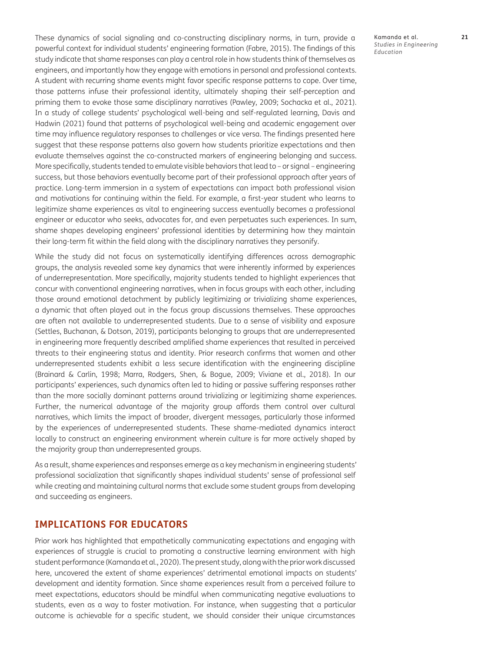These dynamics of social signaling and co-constructing disciplinary norms, in turn, provide a powerful context for individual students' engineering formation ([Fabre, 2015\)](#page-23-0). The findings of this study indicate that shame responses can play a central role in how students think of themselves as engineers, and importantly how they engage with emotions in personal and professional contexts. A student with recurring shame events might favor specific response patterns to cope. Over time, those patterns infuse their professional identity, ultimately shaping their self-perception and priming them to evoke those same disciplinary narratives [\(Pawley, 2009](#page-24-0); [Sochacka et al., 2021](#page-25-0)). In a study of college students' psychological well-being and self-regulated learning, [Davis and](#page-23-0)  [Hadwin \(2021\)](#page-23-0) found that patterns of psychological well-being and academic engagement over time may influence regulatory responses to challenges or vice versa. The findings presented here suggest that these response patterns also govern how students prioritize expectations and then evaluate themselves against the co-constructed markers of engineering belonging and success. More specifically, students tended to emulate visible behaviors that lead to – or signal – engineering success, but those behaviors eventually become part of their professional approach after years of practice. Long-term immersion in a system of expectations can impact both professional vision and motivations for continuing within the field. For example, a first-year student who learns to legitimize shame experiences as vital to engineering success eventually becomes a professional engineer or educator who seeks, advocates for, and even perpetuates such experiences. In sum, shame shapes developing engineers' professional identities by determining how they maintain their long-term fit within the field along with the disciplinary narratives they personify.

While the study did not focus on systematically identifying differences across demographic groups, the analysis revealed some key dynamics that were inherently informed by experiences of underrepresentation. More specifically, majority students tended to highlight experiences that concur with conventional engineering narratives, when in focus groups with each other, including those around emotional detachment by publicly legitimizing or trivializing shame experiences, a dynamic that often played out in the focus group discussions themselves. These approaches are often not available to underrepresented students. Due to a sense of visibility and exposure [\(Settles, Buchanan, & Dotson, 2019\)](#page-25-0), participants belonging to groups that are underrepresented in engineering more frequently described amplified shame experiences that resulted in perceived threats to their engineering status and identity. Prior research confirms that women and other underrepresented students exhibit a less secure identification with the engineering discipline [\(Brainard & Carlin, 1998;](#page-22-0) [Marra, Rodgers, Shen, & Bogue, 2009;](#page-24-0) [Viviane et al., 2018\)](#page-25-0). In our participants' experiences, such dynamics often led to hiding or passive suffering responses rather than the more socially dominant patterns around trivializing or legitimizing shame experiences. Further, the numerical advantage of the majority group affords them control over cultural narratives, which limits the impact of broader, divergent messages, particularly those informed by the experiences of underrepresented students. These shame-mediated dynamics interact locally to construct an engineering environment wherein culture is far more actively shaped by the majority group than underrepresented groups.

As a result, shame experiences and responses emerge as a key mechanism in engineering students' professional socialization that significantly shapes individual students' sense of professional self while creating and maintaining cultural norms that exclude some student groups from developing and succeeding as engineers.

## **IMPLICATIONS FOR EDUCATORS**

Prior work has highlighted that empathetically communicating expectations and engaging with experiences of struggle is crucial to promoting a constructive learning environment with high student performance [\(Kamanda et al., 2020\)](#page-24-0). The present study, along with the prior work discussed here, uncovered the extent of shame experiences' detrimental emotional impacts on students' development and identity formation. Since shame experiences result from a perceived failure to meet expectations, educators should be mindful when communicating negative evaluations to students, even as a way to foster motivation. For instance, when suggesting that a particular outcome is achievable for a specific student, we should consider their unique circumstances Kamanda et al. **21** *Studies in Engineering Education*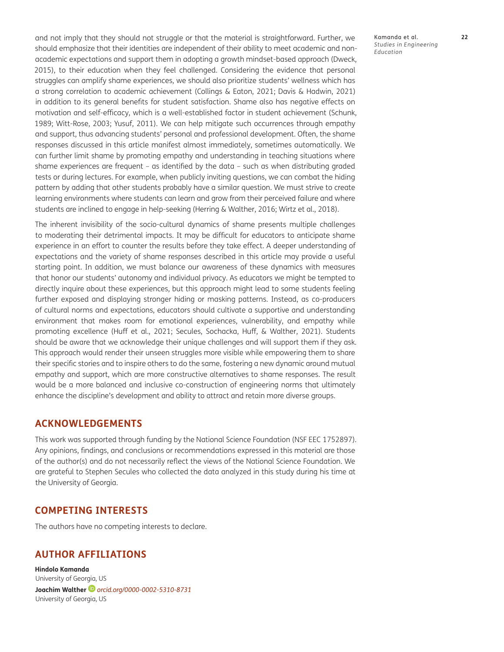and not imply that they should not struggle or that the material is straightforward. Further, we should emphasize that their identities are independent of their ability to meet academic and nonacademic expectations and support them in adopting a growth mindset-based approach (Dweck, 2015), to their education when they feel challenged. Considering the evidence that personal struggles can amplify shame experiences, we should also prioritize students' wellness which has a strong correlation to academic achievement ([Collings & Eaton, 2021;](#page-22-0) [Davis & Hadwin, 2021](#page-23-0)) in addition to its general benefits for student satisfaction. Shame also has negative effects on motivation and self-efficacy, which is a well-established factor in student achievement ([Schunk,](#page-25-0)  [1989;](#page-25-0) [Witt-Rose, 2003;](#page-26-0) [Yusuf, 2011\)](#page-26-0). We can help mitigate such occurrences through empathy and support, thus advancing students' personal and professional development. Often, the shame responses discussed in this article manifest almost immediately, sometimes automatically. We can further limit shame by promoting empathy and understanding in teaching situations where shame experiences are frequent – as identified by the data – such as when distributing graded tests or during lectures. For example, when publicly inviting questions, we can combat the hiding pattern by adding that other students probably have a similar question. We must strive to create learning environments where students can learn and grow from their perceived failure and where students are inclined to engage in help-seeking [\(Herring & Walther, 2016](#page-23-0); [Wirtz et al., 2018](#page-26-0)).

The inherent invisibility of the socio-cultural dynamics of shame presents multiple challenges to moderating their detrimental impacts. It may be difficult for educators to anticipate shame experience in an effort to counter the results before they take effect. A deeper understanding of expectations and the variety of shame responses described in this article may provide a useful starting point. In addition, we must balance our awareness of these dynamics with measures that honor our students' autonomy and individual privacy. As educators we might be tempted to directly inquire about these experiences, but this approach might lead to some students feeling further exposed and displaying stronger hiding or masking patterns. Instead, as co-producers of cultural norms and expectations, educators should cultivate a supportive and understanding environment that makes room for emotional experiences, vulnerability, and empathy while promoting excellence [\(Huff et al., 2021;](#page-24-0) [Secules, Sochacka, Huff, & Walther, 2021\)](#page-25-0). Students should be aware that we acknowledge their unique challenges and will support them if they ask. This approach would render their unseen struggles more visible while empowering them to share their specific stories and to inspire others to do the same, fostering a new dynamic around mutual empathy and support, which are more constructive alternatives to shame responses. The result would be a more balanced and inclusive co-construction of engineering norms that ultimately enhance the discipline's development and ability to attract and retain more diverse groups.

## **ACKNOWLEDGEMENTS**

This work was supported through funding by the National Science Foundation (NSF EEC 1752897). Any opinions, findings, and conclusions or recommendations expressed in this material are those of the author(s) and do not necessarily reflect the views of the National Science Foundation. We are grateful to Stephen Secules who collected the data analyzed in this study during his time at the University of Georgia.

## **COMPETING INTERESTS**

The authors have no competing interests to declare.

## <span id="page-21-0"></span>**AUTHOR AFFILIATIONS**

**Hindolo Kamanda** University of Georgia, US **Joachim Walther***[orcid.org/0000-0002-5310-8731](https://orcid.org/0000-0002-5310-8731)* University of Georgia, US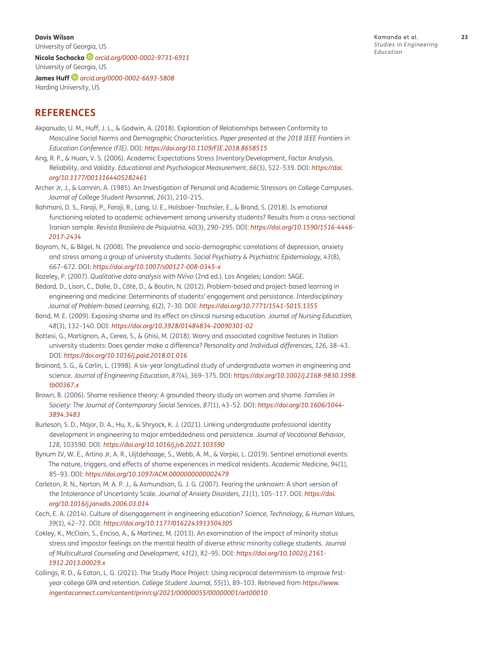<span id="page-22-0"></span>**Davis Wilson** University of Georgia, US **Nicola Sochacka** *[orcid.org/0000-0002-9731-6911](https://orcid.org/0000-0002-9731-6911)* University of Georgia, US

**James Huff***[orcid.org/0000-0002-6693-5808](https://orcid.org/0000-0002-6693-5808)* Harding University, US

## **REFERENCES**

- Akpanudo, U. M., Huff, J. L., & Godwin, A. (2018). Exploration of Relationships between Conformity to Masculine Social Norms and Demographic Characteristics. *Paper presented at the 2018 IEEE Frontiers in Education Conference (FIE)*. DOI: *<https://doi.org/10.1109/FIE.2018.8658515>*
- Ang, R. P., & Huan, V. S. (2006). Academic Expectations Stress Inventory:Development, Factor Analysis, Reliability, and Validity. *Educational and Psychological Measurement, 66*(3), 522–539. DOI: *[https://doi.](https://doi.org/10.1177/0013164405282461 ) [org/10.1177/0013164405282461](https://doi.org/10.1177/0013164405282461 )*
- Archer Jr, J., & Lamnin, A. (1985). An Investigation of Personal and Academic Stressors on College Campuses. *Journal of College Student Personnel, 26*(3), 210–215.
- Bahmani, D. S., Faraji, P., Faraji, R., Lang, U. E., Holsboer-Trachsler, E., & Brand, S. (2018). Is emotional functioning related to academic achievement among university students? Results from a cross-sectional Iranian sample. *Revista Brasileira de Psiquiatria, 40*(3), 290–295. DOI: *[https://doi.org/10.1590/1516-4446-](https://doi.org/10.1590/1516-4446-2017-2434) [2017-2434](https://doi.org/10.1590/1516-4446-2017-2434)*
- Bayram, N., & Bilgel, N. (2008). The prevalence and socio-demographic correlations of depression, anxiety and stress among a group of university students. *Social Psychiatry & Psychiatric Epidemiology, 43*(8), 667–672. DOI: *[https://doi.org/10.1007/s00127-008-0345-x](https://doi.org/10.1007/s00127-008-0345-x )*
- Bazeley, P. (2007). *Qualitative data analysis with NVivo* (2nd ed.). Los Angeles; London: SAGE.
- Bédard, D., Lison, C., Dalle, D., Côté, D., & Boutin, N. (2012). Problem-based and project-based learning in engineering and medicine: Determinants of students' engagement and persistance. *Interdisciplinary Journal of Problem-based Learning, 6*(2), 7–30. DOI: *<https://doi.org/10.7771/1541-5015.1355>*
- Bond, M. E. (2009). Exposing shame and its effect on clinical nursing education. *Journal of Nursing Education, 48*(3), 132–140. DOI: *[https://doi.org/10.3928/01484834-20090301-02](https://doi.org/10.3928/01484834-20090301-02 )*
- Bottesi, G., Martignon, A., Cerea, S., & Ghisi, M. (2018). Worry and associated cognitive features in Italian university students: Does gender make a difference? *Personality and Individual differences, 126*, 38–43. DOI: *[https://doi.org/10.1016/j.paid.2018.01.016](https://doi.org/10.1016/j.paid.2018.01.016 )*
- Brainard, S. G., & Carlin, L. (1998). A six‐-year longitudinal study of undergraduate women in engineering and science. *Journal of Engineering Education, 87*(4), 369–375. DOI: *[https://doi.org/10.1002/j.2168-9830.1998.](https://doi.org/10.1002/j.2168-9830.1998.tb00367.x ) [tb00367.x](https://doi.org/10.1002/j.2168-9830.1998.tb00367.x )*
- Brown, B. (2006). Shame resilience theory: A grounded theory study on women and shame. *Families in Society: The Journal of Contemporary Social Services, 87*(1), 43–52. DOI: *[https://doi.org/10.1606/1044-](https://doi.org/10.1606/1044-3894.3483) [3894.3483](https://doi.org/10.1606/1044-3894.3483)*
- Burleson, S. D., Major, D. A., Hu, X., & Shryock, K. J. (2021). Linking undergraduate professional identity development in engineering to major embeddedness and persistence. *Journal of Vocational Behavior, 128*, 103590. DOI: *[https://doi.org/10.1016/j.jvb.2021.103590](https://doi.org/10.1016/j.jvb.2021.103590 )*
- Bynum IV, W. E., Artino Jr, A. R., Uijtdehaage, S., Webb, A. M., & Varpio, L. (2019). Sentinel emotional events: The nature, triggers, and effects of shame experiences in medical residents. *Academic Medicine, 94*(1), 85–93. DOI: *[https://doi.org/10.1097/ACM.0000000000002479](https://doi.org/10.1097/ACM.0000000000002479 )*
- Carleton, R. N., Norton, M. A. P. J., & Asmundson, G. J. G. (2007). Fearing the unknown: A short version of the Intolerance of Uncertainty Scale. *Journal of Anxiety Disorders, 21*(1), 105–117. DOI: *[https://doi.](https://doi.org/10.1016/j.janxdis.2006.03.014 ) [org/10.1016/j.janxdis.2006.03.014](https://doi.org/10.1016/j.janxdis.2006.03.014 )*
- Cech, E. A. (2014). Culture of disengagement in engineering education? *Science, Technology, & Human Values, 39*(1), 42–72. DOI: *[https://doi.org/10.1177/0162243913504305](https://doi.org/10.1177/0162243913504305 )*
- Cokley, K., McClain, S., Enciso, A., & Martinez, M. (2013). An examination of the impact of minority status stress and impostor feelings on the mental health of diverse ethnic minority college students. *Journal of Multicultural Counseling and Development, 41*(2), 82–95. DOI: *[https://doi.org/10.1002/j.2161-](https://doi.org/10.1002/j.2161-1912.2013.00029.x ) [1912.2013.00029.x](https://doi.org/10.1002/j.2161-1912.2013.00029.x )*
- Collings, R. D., & Eaton, L. G. (2021). The Study Place Project: Using reciprocal determinism to improve firstyear college GPA and retention. *College Student Journal, 55*(1), 89–103. Retrieved from *[https://www.](https://www.ingentaconnect.com/content/prin/csj/2021/00000055/00000001/art00010) [ingentaconnect.com/content/prin/csj/2021/00000055/00000001/art00010](https://www.ingentaconnect.com/content/prin/csj/2021/00000055/00000001/art00010)*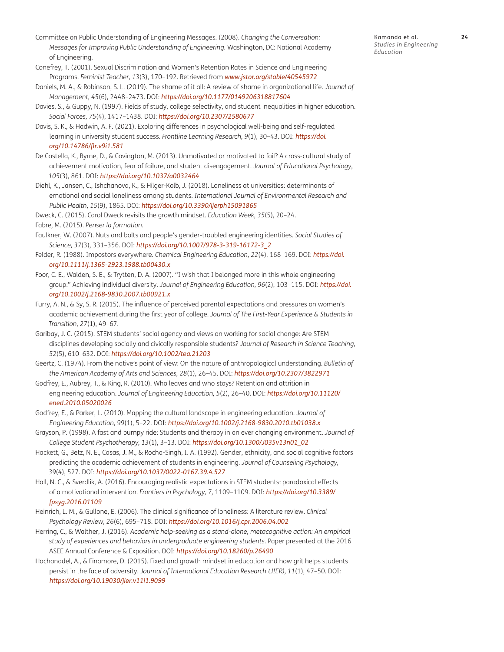- <span id="page-23-0"></span>Committee on Public Understanding of Engineering Messages. (2008). *Changing the Conversation: Messages for Improving Public Understanding of Engineering*. Washington, DC: National Academy of Engineering.
- Conefrey, T. (2001). Sexual Discrimination and Women's Retention Rates in Science and Engineering Programs. *Feminist Teacher, 13*(3), 170–192. Retrieved from *[www.jstor.org/stable/40545972](http://www.jstor.org/stable/40545972)*
- Daniels, M. A., & Robinson, S. L. (2019). The shame of it all: A review of shame in organizational life. *Journal of Management, 45*(6), 2448–2473. DOI: *[https://doi.org/10.1177/0149206318817604](https://doi.org/10.1177/0149206318817604 )*
- Davies, S., & Guppy, N. (1997). Fields of study, college selectivity, and student inequalities in higher education. *Social Forces, 75*(4), 1417–1438. DOI: *[https://doi.org/10.2307/2580677](https://doi.org/10.2307/2580677 )*
- Davis, S. K., & Hadwin, A. F. (2021). Exploring differences in psychological well-being and self-regulated learning in university student success. *Frontline Learning Research, 9*(1), 30–43. DOI: *[https://doi.](https://doi.org/10.14786/flr.v9i1.581 ) [org/10.14786/flr.v9i1.581](https://doi.org/10.14786/flr.v9i1.581 )*
- De Castella, K., Byrne, D., & Covington, M. (2013). Unmotivated or motivated to fail? A cross-cultural study of achievement motivation, fear of failure, and student disengagement. *Journal of Educational Psychology, 105*(3), 861. DOI: *[https://doi.org/10.1037/a0032464](https://doi.org/10.1037/a0032464 )*
- Diehl, K., Jansen, C., Ishchanova, K., & Hilger-Kolb, J. (2018). Loneliness at universities: determinants of emotional and social loneliness among students. *International Journal of Environmental Research and Public Health, 15*(9), 1865. DOI: *[https://doi.org/10.3390/ijerph15091865](https://doi.org/10.3390/ijerph15091865 )*
- Dweck, C. (2015). Carol Dweck revisits the growth mindset. *Education Week, 35*(5), 20–24. Fabre, M. (2015). *Penser la formation*.
- Faulkner, W. (2007). Nuts and bolts and people's gender-troubled engineering identities. *Social Studies of Science, 37*(3), 331–356. DOI: *[https://doi.org/10.1007/978-3-319-16172-3\\_2](https://doi.org/10.1007/978-3-319-16172-3_2 )*
- Felder, R. (1988). Impostors everywhere. *Chemical Engineering Education, 22*(4), 168–169. DOI: *[https://doi.](https://doi.org/10.1111/j.1365-2923.1988.tb00430.x ) [org/10.1111/j.1365-2923.1988.tb00430.x](https://doi.org/10.1111/j.1365-2923.1988.tb00430.x )*
- Foor, C. E., Walden, S. E., & Trytten, D. A. (2007). "I wish that I belonged more in this whole engineering group:" Achieving individual diversity. *Journal of Engineering Education, 96*(2), 103–115. DOI: *[https://doi.](https://doi.org/10.1002/j.2168-9830.2007.tb00921.x ) [org/10.1002/j.2168-9830.2007.tb00921.x](https://doi.org/10.1002/j.2168-9830.2007.tb00921.x )*
- Furry, A. N., & Sy, S. R. (2015). The influence of perceived parental expectations and pressures on women's academic achievement during the first year of college. *Journal of The First-Year Experience & Students in Transition, 27*(1), 49–67.
- Garibay, J. C. (2015). STEM students' social agency and views on working for social change: Are STEM disciplines developing socially and civically responsible students? *Journal of Research in Science Teaching, 52*(5), 610–632. DOI: *[https://doi.org/10.1002/tea.21203](https://doi.org/10.1002/tea.21203 )*
- Geertz, C. (1974). From the native's point of view: On the nature of anthropological understanding. *Bulletin of the American Academy of Arts and Sciences, 28*(1), 26–45. DOI: *[https://doi.org/10.2307/3822971](https://doi.org/10.2307/3822971 )*
- Godfrey, E., Aubrey, T., & King, R. (2010). Who leaves and who stays? Retention and attrition in engineering education. *Journal of Engineering Education, 5*(2), 26–40. DOI: *[https://doi.org/10.11120/](https://doi.org/10.11120/ened.2010.05020026) [ened.2010.05020026](https://doi.org/10.11120/ened.2010.05020026)*
- Godfrey, E., & Parker, L. (2010). Mapping the cultural landscape in engineering education. *Journal of Engineering Education, 99*(1), 5–22. DOI: *<https://doi.org/10.1002/j.2168-9830.2010.tb01038.x>*
- Grayson, P. (1998). A fast and bumpy ride: Students and therapy in an ever changing environment. *Journal of College Student Psychotherapy, 13*(1), 3–13. DOI: *[https://doi.org/10.1300/J035v13n01\\_02](https://doi.org/10.1300/J035v13n01_02)*
- Hackett, G., Betz, N. E., Casas, J. M., & Rocha-Singh, I. A. (1992). Gender, ethnicity, and social cognitive factors predicting the academic achievement of students in engineering. *Journal of Counseling Psychology, 39*(4), 527. DOI: *[https://doi.org/10.1037/0022-0167.39.4.527](https://doi.org/10.1037/0022-0167.39.4.527 )*
- Hall, N. C., & Sverdlik, A. (2016). Encouraging realistic expectations in STEM students: paradoxical effects of a motivational intervention. *Frontiers in Psychology, 7*, 1109–1109. DOI: *[https://doi.org/10.3389/](https://doi.org/10.3389/fpsyg.2016.01109 ) [fpsyg.2016.01109](https://doi.org/10.3389/fpsyg.2016.01109 )*
- Heinrich, L. M., & Gullone, E. (2006). The clinical significance of loneliness: A literature review. *Clinical Psychology Review, 26*(6), 695–718. DOI: *<https://doi.org/10.1016/j.cpr.2006.04.002>*
- Herring, C., & Walther, J. (2016). *Academic help-seeking as a stand-alone, metacognitive action: An empirical study of experiences and behaviors in undergraduate engineering students.* Paper presented at the 2016 ASEE Annual Conference & Exposition. DOI: *[https://doi.org/10.18260/p.26490](https://doi.org/10.18260/p.26490 )*
- Hochanadel, A., & Finamore, D. (2015). Fixed and growth mindset in education and how grit helps students persist in the face of adversity. *Journal of International Education Research (JIER), 11*(1), 47–50. DOI: *[https://doi.org/10.19030/jier.v11i1.9099](https://doi.org/10.19030/jier.v11i1.9099 )*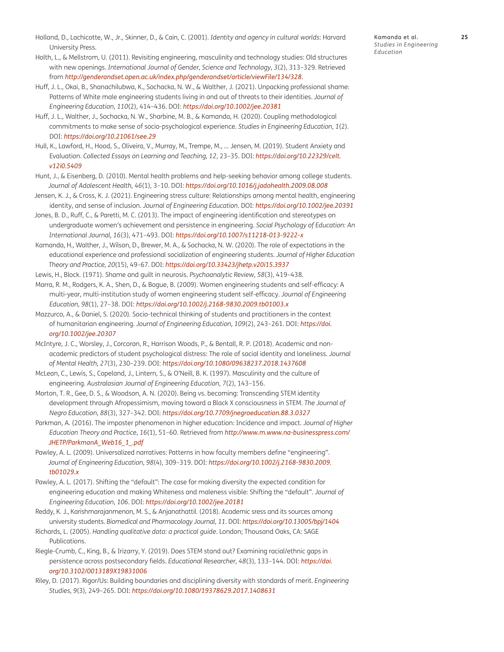- <span id="page-24-0"></span>Holland, D., Lachicotte, W., Jr., Skinner, D., & Cain, C. (2001). *Identity and agency in cultural worlds*: Harvard University Press.
- Holth, L., & Mellstrom, U. (2011). Revisiting engineering, masculinity and technology studies: Old structures with new openings. *International Journal of Gender, Science and Technology, 3*(2), 313–329. Retrieved from *[http://genderandset.open.ac.uk/index.php/genderandset/article/viewFile/134/328](http://genderandset.open.ac.uk/index.php/genderandset/article/viewFile/134/328 )*.
- Huff, J. L., Okai, B., Shanachilubwa, K., Sochacka, N. W., & Walther, J. (2021). Unpacking professional shame: Patterns of White male engineering students living in and out of threats to their identities. *Journal of Engineering Education, 110*(2), 414–436. DOI: *[https://doi.org/10.1002/jee.20381](https://doi.org/10.1002/jee.20381 )*
- Huff, J. L., Walther, J., Sochacka, N. W., Sharbine, M. B., & Kamanda, H. (2020). Coupling methodological commitments to make sense of socio-psychological experience. *Studies in Engineering Education, 1*(2). DOI: *[https://doi.org/10.21061/see.29](https://doi.org/10.21061/see.29 )*
- Hull, K., Lawford, H., Hood, S., Oliveira, V., Murray, M., Trempe, M., … Jensen, M. (2019). Student Anxiety and Evaluation. *Collected Essays on Learning and Teaching, 12*, 23–35. DOI: *[https://doi.org/10.22329/celt.](https://doi.org/10.22329/celt.v12i0.5409 ) [v12i0.5409](https://doi.org/10.22329/celt.v12i0.5409 )*
- Hunt, J., & Eisenberg, D. (2010). Mental health problems and help-seeking behavior among college students. *Journal of Adolescent Health, 46*(1), 3–10. DOI: *[https://doi.org/10.1016/j.jadohealth.2009.08.008](https://doi.org/10.1016/j.jadohealth.2009.08.008 )*
- Jensen, K. J., & Cross, K. J. (2021). Engineering stress culture: Relationships among mental health, engineering identity, and sense of inclusion. *Journal of Engineering Education*. DOI: *[https://doi.org/10.1002/jee.20391](https://doi.org/10.1002/jee.20391 )*
- Jones, B. D., Ruff, C., & Paretti, M. C. (2013). The impact of engineering identification and stereotypes on undergraduate women's achievement and persistence in engineering. *Social Psychology of Education: An International Journal, 16*(3), 471–493. DOI: *[https://doi.org/10.1007/s11218-013-9222-x](https://doi.org/10.1007/s11218-013-9222-x )*
- Kamanda, H., Walther, J., Wilson, D., Brewer, M. A., & Sochacka, N. W. (2020). The role of expectations in the educational experience and professional socialization of engineering students. *Journal of Higher Education Theory and Practice, 20*(15), 49–67. DOI: *<https://doi.org/10.33423/jhetp.v20i15.3937>*
- Lewis, H., Block. (1971). Shame and guilt in neurosis. *Psychoanalytic Review, 58*(3), 419–438.
- Marra, R. M., Rodgers, K. A., Shen, D., & Bogue, B. (2009). Women engineering students and self-efficacy: A multi-year, multi-institution study of women engineering student self-efficacy. *Journal of Engineering Education, 98*(1), 27–38. DOI: *[https://doi.org/10.1002/j.2168-9830.2009.tb01003.x](https://doi.org/10.1002/j.2168-9830.2009.tb01003.x )*
- Mazzurco, A., & Daniel, S. (2020). Socio-technical thinking of students and practitioners in the context of humanitarian engineering. *Journal of Engineering Education, 109*(2), 243–261. DOI: *[https://doi.](https://doi.org/10.1002/jee.20307 ) [org/10.1002/jee.20307](https://doi.org/10.1002/jee.20307 )*
- McIntyre, J. C., Worsley, J., Corcoran, R., Harrison Woods, P., & Bentall, R. P. (2018). Academic and nonacademic predictors of student psychological distress: The role of social identity and loneliness. *Journal of Mental Health, 27*(3), 230–239. DOI: *[https://doi.org/10.1080/09638237.2018.1437608](https://doi.org/10.1080/09638237.2018.1437608 )*
- McLean, C., Lewis, S., Copeland, J., Lintern, S., & O'Neill, B. K. (1997). Masculinity and the culture of engineering. *Australasian Journal of Engineering Education, 7*(2), 143–156.
- Morton, T. R., Gee, D. S., & Woodson, A. N. (2020). Being vs. becoming: Transcending STEM identity development through Afropessimism, moving toward a Black X consciousness in STEM. *The Journal of Negro Education, 88*(3), 327–342. DOI: *[https://doi.org/10.7709/jnegroeducation.88.3.0327](https://doi.org/10.7709/jnegroeducation.88.3.0327 )*
- Parkman, A. (2016). The imposter phenomenon in higher education: Incidence and impact. *Journal of Higher Education Theory and Practice, 16*(1), 51–60. Retrieved from *[http://www.m.www.na-businesspress.com/](http://www.m.www.na-businesspress.com/JHETP/ParkmanA_Web16_1_.pdf ) [JHETP/ParkmanA\\_Web16\\_1\\_.pdf](http://www.m.www.na-businesspress.com/JHETP/ParkmanA_Web16_1_.pdf )*
- Pawley, A. L. (2009). Universalized narratives: Patterns in how faculty members define "engineering". *Journal of Engineering Education, 98*(4), 309–319. DOI: *[https://doi.org/10.1002/j.2168-9830.2009.](https://doi.org/10.1002/j.2168-9830.2009.tb01029.x ) [tb01029.x](https://doi.org/10.1002/j.2168-9830.2009.tb01029.x )*
- Pawley, A. L. (2017). Shifting the "default": The case for making diversity the expected condition for engineering education and making Whiteness and maleness visible: Shifting the "default". *Journal of Engineering Education, 106*. DOI: *[https://doi.org/10.1002/jee.20181](https://doi.org/10.1002/jee.20181 )*
- Reddy, K. J., Karishmarajanmenon, M. S., & Anjanathattil. (2018). Academic sress and its sources among university students. *Biomedical and Pharmacology Journal, 11*. DOI: *[https://doi.org/10.13005/bpj/1404](https://doi.org/10.13005/bpj/1404 )*
- Richards, L. (2005). *Handling qualitative data: a practical guide*. London; Thousand Oaks, CA: SAGE Publications.
- Riegle-Crumb, C., King, B., & Irizarry, Y. (2019). Does STEM stand out? Examining racial/ethnic gaps in persistence across postsecondary fields. *Educational Researcher, 48*(3), 133–144. DOI: *[https://doi.](https://doi.org/10.3102/0013189X19831006 ) [org/10.3102/0013189X19831006](https://doi.org/10.3102/0013189X19831006 )*
- Riley, D. (2017). Rigor/Us: Building boundaries and disciplining diversity with standards of merit. *Engineering Studies, 9*(3), 249–265. DOI: *[https://doi.org/10.1080/19378629.2017.1408631](https://doi.org/10.1080/19378629.2017.1408631 )*

Kamanda et al. **25** *Studies in Engineering Education*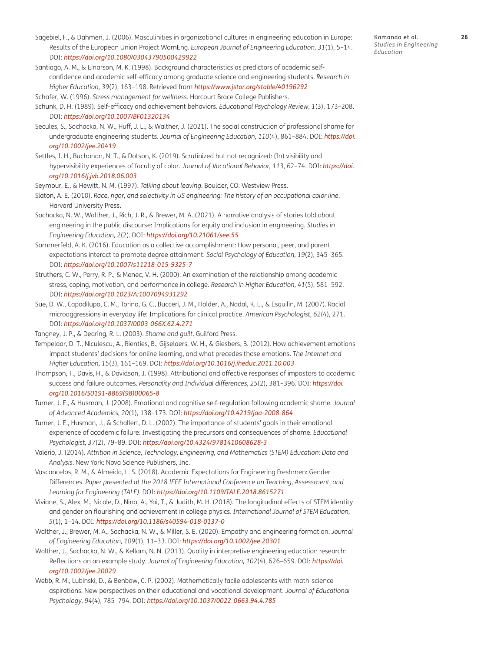- <span id="page-25-0"></span>Sagebiel, F., & Dahmen, J. (2006). Masculinities in organizational cultures in engineering education in Europe: Results of the European Union Project WomEng. *European Journal of Engineering Education, 31*(1), 5–14. DOI: *[https://doi.org/10.1080/03043790500429922](https://doi.org/10.1080/03043790500429922 )*
- Santiago, A. M., & Einarson, M. K. (1998). Background characteristics as predictors of academic selfconfidence and academic self-efficacy among graduate science and engineering students. *Research in Higher Education, 39*(2), 163–198. Retrieved from *<https://www.jstor.org/stable/40196292>*

Schafer, W. (1996). *Stress management for wellness*. Harcourt Brace College Publishers.

- Schunk, D. H. (1989). Self-efficacy and achievement behaviors. *Educational Psychology Review, 1*(3), 173–208. DOI: *<https://doi.org/10.1007/BF01320134>*
- Secules, S., Sochacka, N. W., Huff, J. L., & Walther, J. (2021). The social construction of professional shame for undergraduate engineering students. *Journal of Engineering Education, 110*(4), 861–884. DOI: *[https://doi.](https://doi.org/10.1002/jee.20419) [org/10.1002/jee.20419](https://doi.org/10.1002/jee.20419)*
- Settles, I. H., Buchanan, N. T., & Dotson, K. (2019). Scrutinized but not recognized: (In) visibility and hypervisibility experiences of faculty of color. *Journal of Vocational Behavior, 113*, 62–74. DOI: *[https://doi.](https://doi.org/10.1016/j.jvb.2018.06.003 ) [org/10.1016/j.jvb.2018.06.003](https://doi.org/10.1016/j.jvb.2018.06.003 )*
- Seymour, E., & Hewitt, N. M. (1997). *Talking about leaving*. Boulder, CO: Westview Press.
- Slaton, A. E. (2010). *Race, rigor, and selectivity in US engineering: The history of an occupational color line*. Harvard University Press.
- Sochacka, N. W., Walther, J., Rich, J. R., & Brewer, M. A. (2021). A narrative analysis of stories told about engineering in the public discourse: Implications for equity and inclusion in engineering. *Studies in Engineering Education, 2*(2). DOI: *[https://doi.org/10.21061/see.55](https://doi.org/10.21061/see.55 )*
- Sommerfeld, A. K. (2016). Education as a collective accomplishment: How personal, peer, and parent expectations interact to promote degree attainment. *Social Psychology of Education, 19*(2), 345–365. DOI: *[https://doi.org/10.1007/s11218-015-9325-7](https://doi.org/10.1007/s11218-015-9325-7 )*
- Struthers, C. W., Perry, R. P., & Menec, V. H. (2000). An examination of the relationship among academic stress, coping, motivation, and performance in college. *Research in Higher Education, 41*(5), 581–592. DOI: *[https://doi.org/10.1023/A:1007094931292](https://doi.org/10.1023/A:1007094931292 )*
- Sue, D. W., Capodilupo, C. M., Torino, G. C., Bucceri, J. M., Holder, A., Nadal, K. L., & Esquilin, M. (2007). Racial microaggressions in everyday life: Implications for clinical practice. *American Psychologist, 62*(4), 271. DOI: *[https://doi.org/10.1037/0003-066X.62.4.271](https://doi.org/10.1037/0003-066X.62.4.271 )*
- Tangney, J. P., & Dearing, R. L. (2003). *Shame and guilt*. Guilford Press.
- Tempelaar, D. T., Niculescu, A., Rienties, B., Gijselaers, W. H., & Giesbers, B. (2012). How achievement emotions impact students' decisions for online learning, and what precedes those emotions. *The Internet and Higher Education, 15*(3), 161–169. DOI: *[https://doi.org/10.1016/j.iheduc.2011.10.003](https://doi.org/10.1016/j.iheduc.2011.10.003 )*
- Thompson, T., Davis, H., & Davidson, J. (1998). Attributional and affective responses of impostors to academic success and failure outcomes. *Personality and Individual differences, 25*(2), 381–396. DOI: *[https://doi.](https://doi.org/10.1016/S0191-8869(98)00065-8 ) [org/10.1016/S0191-8869\(98\)00065-8](https://doi.org/10.1016/S0191-8869(98)00065-8 )*
- Turner, J. E., & Husman, J. (2008). Emotional and cognitive self-regulation following academic shame. *Journal of Advanced Academics, 20*(1), 138–173. DOI: *[https://doi.org/10.4219/jaa-2008-864](https://doi.org/10.4219/jaa-2008-864 )*
- Turner, J. E., Husman, J., & Schallert, D. L. (2002). The importance of students' goals in their emotional experience of academic failure: Investigating the precursors and consequences of shame. *Educational Psychologist, 37*(2), 79–89. DOI: *[https://doi.org/10.4324/9781410608628-3](https://doi.org/10.4324/9781410608628-3 )*
- Valerio, J. (2014). *Attrition in Science, Technology, Engineering, and Mathematics (STEM) Education: Data and Analysis*. New York: Nova Science Publishers, Inc.
- Vasconcelos, R. M., & Almeida, L. S. (2018). Academic Expectations for Engineering Freshmen: Gender Differences. *Paper presented at the 2018 IEEE International Conference on Teaching, Assessment, and Learning for Engineering (TALE)*. DOI: *[https://doi.org/10.1109/TALE.2018.8615271](https://doi.org/10.1109/TALE.2018.8615271 )*
- Viviane, S., Alex, M., Nicole, D., Nina, A., Yoi, T., & Judith, M. H. (2018). The longitudinal effects of STEM identity and gender on flourishing and achievement in college physics. *International Journal of STEM Education, 5*(1), 1–14. DOI: *[https://doi.org/10.1186/s40594-018-0137-0](https://doi.org/10.1186/s40594-018-0137-0 )*
- Walther, J., Brewer, M. A., Sochacka, N. W., & Miller, S. E. (2020). Empathy and engineering formation. *Journal of Engineering Education, 109*(1), 11–33. DOI: *[https://doi.org/10.1002/jee.20301](https://doi.org/10.1002/jee.20301 )*
- Walther, J., Sochacka, N. W., & Kellam, N. N. (2013). Quality in interpretive engineering education research: Reflections on an example study. *Journal of Engineering Education, 102*(4), 626–659. DOI: *[https://doi.](https://doi.org/10.1002/jee.20029 ) [org/10.1002/jee.20029](https://doi.org/10.1002/jee.20029 )*
- Webb, R. M., Lubinski, D., & Benbow, C. P. (2002). Mathematically facile adolescents with math-science aspirations: New perspectives on their educational and vocational development. *Journal of Educational Psychology, 94*(4), 785–794. DOI: *[https://doi.org/10.1037/0022-0663.94.4.785](https://doi.org/10.1037/0022-0663.94.4.785 )*

*Education*